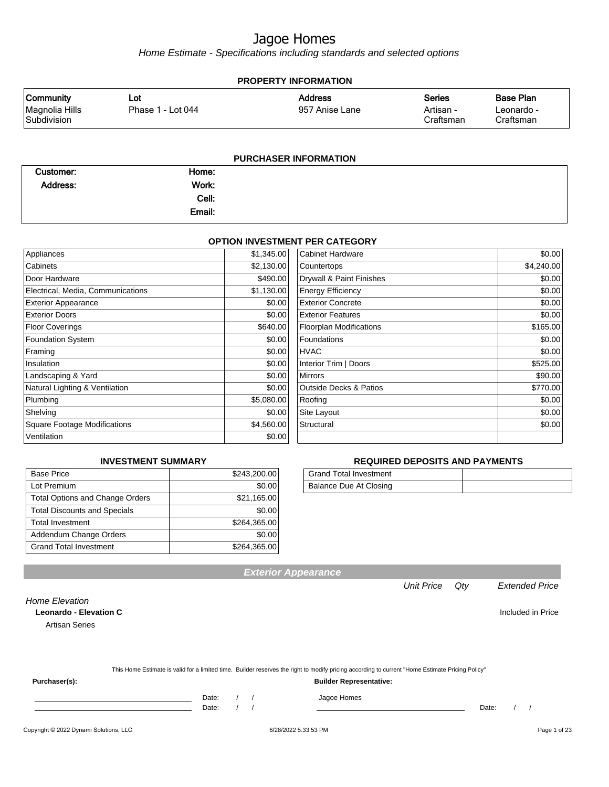Home Estimate - Specifications including standards and selected options

| <b>PROPERTY INFORMATION</b>                       |                          |                                  |                                         |                                             |  |
|---------------------------------------------------|--------------------------|----------------------------------|-----------------------------------------|---------------------------------------------|--|
| <b>Community</b><br>Magnolia Hills<br>Subdivision | Lot<br>Phase 1 - Lot 044 | <b>Address</b><br>957 Anise Lane | <b>Series</b><br>Artisan -<br>Craftsman | <b>Base Plan</b><br>Leonardo -<br>Craftsman |  |
|                                                   |                          | <b>PURCHASER INFORMATION</b>     |                                         |                                             |  |

| Customer: | Home:  |  |
|-----------|--------|--|
| Address:  | Work:  |  |
|           | Cell:  |  |
|           | Email: |  |

#### **OPTION INVESTMENT PER CATEGORY**

| Appliances                          | \$1,345.00 | <b>Cabinet Hardware</b>           | \$0.00     |
|-------------------------------------|------------|-----------------------------------|------------|
| Cabinets                            | \$2,130.00 | Countertops                       | \$4,240.00 |
| Door Hardware                       | \$490.00   | Drywall & Paint Finishes          | \$0.00     |
| Electrical, Media, Communications   | \$1,130.00 | <b>Energy Efficiency</b>          | \$0.00     |
| <b>Exterior Appearance</b>          | \$0.00     | <b>Exterior Concrete</b>          | \$0.00     |
| <b>Exterior Doors</b>               | \$0.00     | <b>Exterior Features</b>          | \$0.00     |
| <b>Floor Coverings</b>              | \$640.00   | <b>Floorplan Modifications</b>    | \$165.00   |
| <b>Foundation System</b>            | \$0.00     | Foundations                       | \$0.00     |
| Framing                             | \$0.00     | <b>HVAC</b>                       | \$0.00     |
| Insulation                          | \$0.00     | Interior Trim   Doors             | \$525.00   |
| Landscaping & Yard                  | \$0.00     | Mirrors                           | \$90.00    |
| Natural Lighting & Ventilation      | \$0.00     | <b>Outside Decks &amp; Patios</b> | \$770.00   |
| Plumbing                            | \$5,080.00 | Roofing                           | \$0.00     |
| Shelving                            | \$0.00     | Site Layout                       | \$0.00     |
| <b>Square Footage Modifications</b> | \$4,560.00 | Structural                        | \$0.00     |
| Ventilation                         | \$0.00     |                                   |            |

#### **INVESTMENT SUMMARY**

| <b>Base Price</b>                      | \$243,200.00 |
|----------------------------------------|--------------|
| Lot Premium                            | \$0.00       |
| <b>Total Options and Change Orders</b> | \$21,165.00  |
| <b>Total Discounts and Specials</b>    | \$0.00       |
| <b>Total Investment</b>                | \$264,365.00 |
| Addendum Change Orders                 | \$0.00       |
| <b>Grand Total Investment</b>          | \$264.365.00 |

#### **REQUIRED DEPOSITS AND PAYMENTS**

| <b>Grand Total Investment</b> |  |
|-------------------------------|--|
| Balance Due At Closing        |  |

Home Elevation **Leonardo - Elevation C Included in Price** 

Artisan Series

|  | This Home Estimate is valid for a limited time. Builder reserves the right to modify pricing according to current "Home Estimate Pricing Policy" |  |
|--|--------------------------------------------------------------------------------------------------------------------------------------------------|--|
|--|--------------------------------------------------------------------------------------------------------------------------------------------------|--|

**Exterior Appearance**

**Purchaser(s): Builder Representative:**

Date: / / Jagoe Homes<br>Date: / / Jagoe Homes

Date: / / Date: / /

Unit Price Qty Extended Price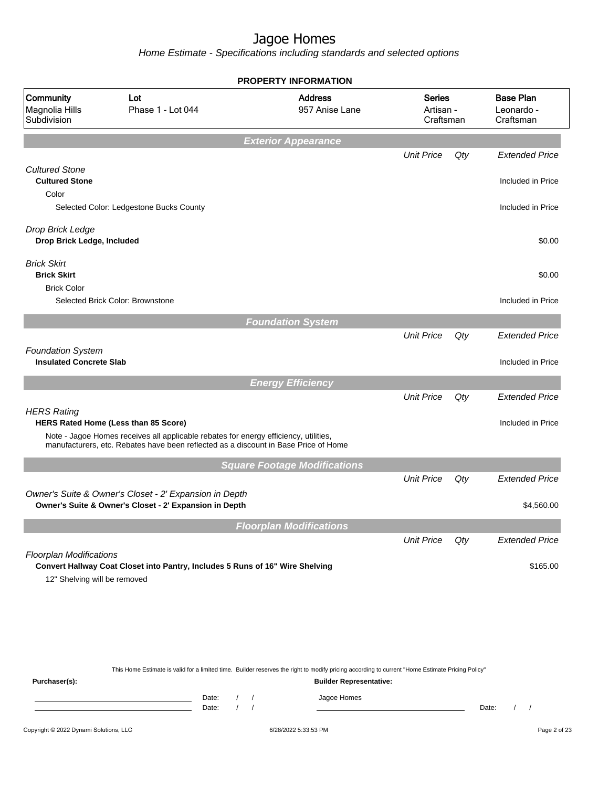Home Estimate - Specifications including standards and selected options

|                                                                |                                                                                                                                                                             | <b>PROPERTY INFORMATION</b>         |                                         |     |                                             |
|----------------------------------------------------------------|-----------------------------------------------------------------------------------------------------------------------------------------------------------------------------|-------------------------------------|-----------------------------------------|-----|---------------------------------------------|
| <b>Community</b><br>Magnolia Hills<br>Subdivision              | Lot<br>Phase 1 - Lot 044                                                                                                                                                    | <b>Address</b><br>957 Anise Lane    | <b>Series</b><br>Artisan -<br>Craftsman |     | <b>Base Plan</b><br>Leonardo -<br>Craftsman |
|                                                                |                                                                                                                                                                             | <b>Exterior Appearance</b>          |                                         |     |                                             |
|                                                                |                                                                                                                                                                             |                                     | <b>Unit Price</b>                       | Qty | <b>Extended Price</b>                       |
| <b>Cultured Stone</b><br><b>Cultured Stone</b><br>Color        |                                                                                                                                                                             |                                     |                                         |     | Included in Price                           |
|                                                                | Selected Color: Ledgestone Bucks County                                                                                                                                     |                                     |                                         |     | Included in Price                           |
| Drop Brick Ledge<br>Drop Brick Ledge, Included                 |                                                                                                                                                                             |                                     |                                         |     | \$0.00                                      |
| <b>Brick Skirt</b><br><b>Brick Skirt</b><br><b>Brick Color</b> |                                                                                                                                                                             |                                     |                                         |     | \$0.00                                      |
| Selected Brick Color: Brownstone                               |                                                                                                                                                                             |                                     |                                         |     | Included in Price                           |
|                                                                |                                                                                                                                                                             | <b>Foundation System</b>            |                                         |     |                                             |
|                                                                |                                                                                                                                                                             |                                     | <b>Unit Price</b>                       | Qty | <b>Extended Price</b>                       |
| <b>Foundation System</b><br><b>Insulated Concrete Slab</b>     |                                                                                                                                                                             |                                     |                                         |     | Included in Price                           |
|                                                                |                                                                                                                                                                             | <b>Energy Efficiency</b>            |                                         |     |                                             |
|                                                                |                                                                                                                                                                             |                                     | <b>Unit Price</b>                       | Qty | <b>Extended Price</b>                       |
| <b>HERS Rating</b><br>HERS Rated Home (Less than 85 Score)     |                                                                                                                                                                             |                                     |                                         |     | Included in Price                           |
|                                                                | Note - Jagoe Homes receives all applicable rebates for energy efficiency, utilities,<br>manufacturers, etc. Rebates have been reflected as a discount in Base Price of Home |                                     |                                         |     |                                             |
|                                                                |                                                                                                                                                                             | <b>Square Footage Modifications</b> |                                         |     |                                             |
|                                                                |                                                                                                                                                                             |                                     | <b>Unit Price</b>                       | Qty | <b>Extended Price</b>                       |
|                                                                | Owner's Suite & Owner's Closet - 2' Expansion in Depth<br>Owner's Suite & Owner's Closet - 2' Expansion in Depth                                                            |                                     |                                         |     | \$4,560.00                                  |
|                                                                |                                                                                                                                                                             | <b>Floorplan Modifications</b>      |                                         |     |                                             |
|                                                                |                                                                                                                                                                             |                                     | <b>Unit Price</b>                       | Qty | <b>Extended Price</b>                       |
| <b>Floorplan Modifications</b><br>12" Shelving will be removed | Convert Hallway Coat Closet into Pantry, Includes 5 Runs of 16" Wire Shelving                                                                                               |                                     |                                         |     | \$165.00                                    |
|                                                                |                                                                                                                                                                             |                                     |                                         |     |                                             |
|                                                                |                                                                                                                                                                             |                                     |                                         |     |                                             |

This Home Estimate is valid for a limited time. Builder reserves the right to modify pricing according to current "Home Estimate Pricing Policy"

**Purchaser(s): Builder Representative:** Date: / / Jagoe Homes<br>Date: / / Jagoe Homes Date: / / **Date: / / 2006** Date: / / / Date: / / / Date: / / / 2006 Date: / / / 2006 Date: / / / 2006 Date: / / / 2006 Date: / / / 2007 Date: / / / 2007 Date: / / / 2007 Date: / / / 2007 Date: / / / 2007 Date: / / / 2007 D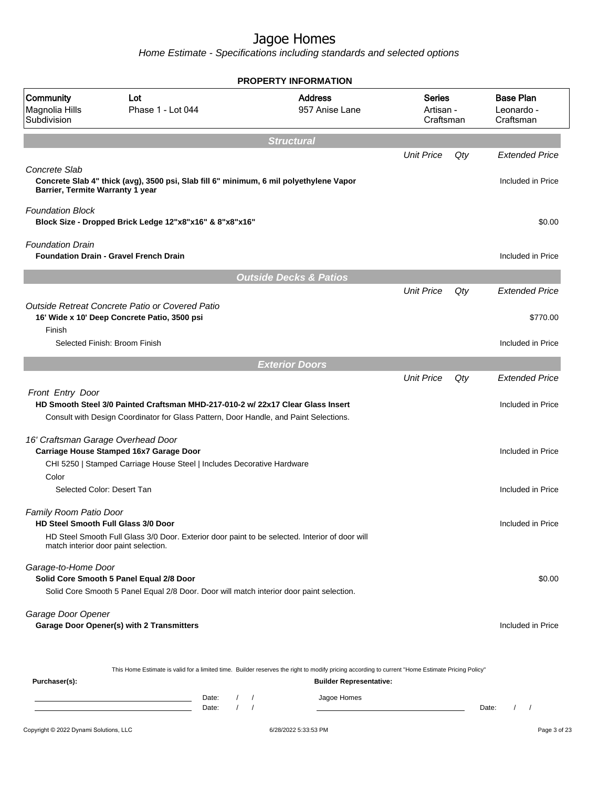Home Estimate - Specifications including standards and selected options

| <b>PROPERTY INFORMATION</b>                       |                                                                                                                                                                               |                                   |                                         |     |                                             |
|---------------------------------------------------|-------------------------------------------------------------------------------------------------------------------------------------------------------------------------------|-----------------------------------|-----------------------------------------|-----|---------------------------------------------|
| Community<br>Magnolia Hills<br>Subdivision        | Lot<br>Phase 1 - Lot 044                                                                                                                                                      | <b>Address</b><br>957 Anise Lane  | <b>Series</b><br>Artisan -<br>Craftsman |     | <b>Base Plan</b><br>Leonardo -<br>Craftsman |
|                                                   |                                                                                                                                                                               | <b>Structural</b>                 |                                         |     |                                             |
| Concrete Slab<br>Barrier, Termite Warranty 1 year | Concrete Slab 4" thick (avg), 3500 psi, Slab fill 6" minimum, 6 mil polyethylene Vapor                                                                                        |                                   | <b>Unit Price</b>                       | Qty | <b>Extended Price</b><br>Included in Price  |
| <b>Foundation Block</b>                           | Block Size - Dropped Brick Ledge 12"x8"x16" & 8"x8"x16"                                                                                                                       |                                   |                                         |     | \$0.00                                      |
| <b>Foundation Drain</b>                           | <b>Foundation Drain - Gravel French Drain</b>                                                                                                                                 |                                   |                                         |     | Included in Price                           |
|                                                   |                                                                                                                                                                               | <b>Outside Decks &amp; Patios</b> |                                         |     |                                             |
|                                                   |                                                                                                                                                                               |                                   | <b>Unit Price</b>                       | Qty | <b>Extended Price</b>                       |
| Finish                                            | Outside Retreat Concrete Patio or Covered Patio<br>16' Wide x 10' Deep Concrete Patio, 3500 psi                                                                               |                                   |                                         |     | \$770.00                                    |
|                                                   | Selected Finish: Broom Finish                                                                                                                                                 |                                   |                                         |     | Included in Price                           |
|                                                   |                                                                                                                                                                               | <b>Exterior Doors</b>             |                                         |     |                                             |
|                                                   |                                                                                                                                                                               |                                   | <b>Unit Price</b>                       | Qty | <b>Extended Price</b>                       |
| Front Entry Door                                  | HD Smooth Steel 3/0 Painted Craftsman MHD-217-010-2 w/ 22x17 Clear Glass Insert<br>Consult with Design Coordinator for Glass Pattern, Door Handle, and Paint Selections.      |                                   |                                         |     | Included in Price                           |
|                                                   | 16' Craftsman Garage Overhead Door<br>Carriage House Stamped 16x7 Garage Door<br>CHI 5250   Stamped Carriage House Steel   Includes Decorative Hardware                       |                                   |                                         |     | Included in Price                           |
| Color                                             | Selected Color: Desert Tan                                                                                                                                                    |                                   |                                         |     | Included in Price                           |
| Family Room Patio Door                            | HD Steel Smooth Full Glass 3/0 Door<br>HD Steel Smooth Full Glass 3/0 Door. Exterior door paint to be selected. Interior of door will<br>match interior door paint selection. |                                   |                                         |     | Included in Price                           |
| Garage-to-Home Door                               | Solid Core Smooth 5 Panel Equal 2/8 Door<br>Solid Core Smooth 5 Panel Equal 2/8 Door. Door will match interior door paint selection.                                          |                                   |                                         |     | \$0.00                                      |
| Garage Door Opener                                | Garage Door Opener(s) with 2 Transmitters                                                                                                                                     |                                   |                                         |     | Included in Price                           |
| Purchaser(s):                                     | This Home Estimate is valid for a limited time. Builder reserves the right to modify pricing according to current "Home Estimate Pricing Policy"                              | <b>Builder Representative:</b>    |                                         |     |                                             |

Date: / / Jagoe Homes<br>Date: / / Jagoe Homes Date: / / **Date: / / 2006** Date: / / / Date: / / / Date: / / / 2006 Date: / / / 2006 Date: / / / 2006 Date: / / / 2006 Date: / / / 2007 Date: / / / 2007 Date: / / / 2007 Date: / / / 2007 Date: / / / 2007 Date: / / / 2007 D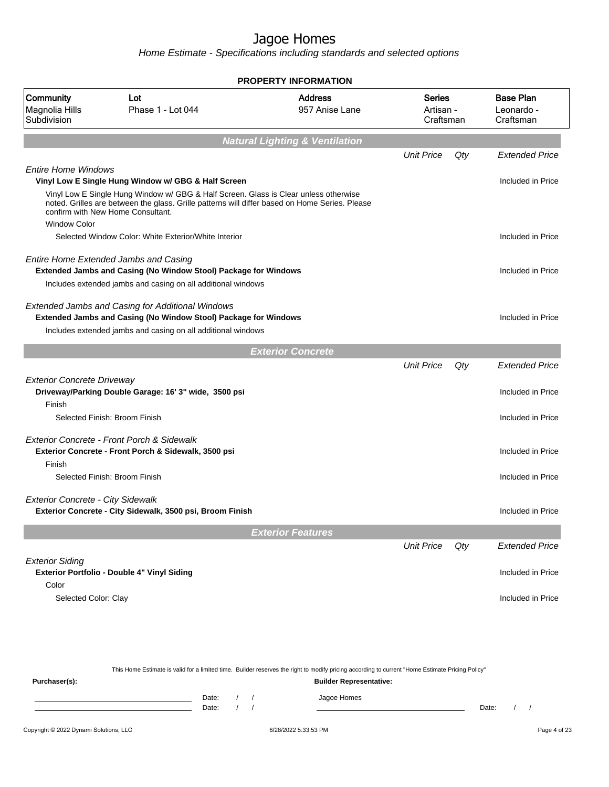Home Estimate - Specifications including standards and selected options

|                                             |                                                                                                                                                                                                                             | <b>PROPERTY INFORMATION</b>               |                                         |     |                                             |
|---------------------------------------------|-----------------------------------------------------------------------------------------------------------------------------------------------------------------------------------------------------------------------------|-------------------------------------------|-----------------------------------------|-----|---------------------------------------------|
| Community<br>Magnolia Hills<br>Subdivision  | Lot<br>Phase 1 - Lot 044                                                                                                                                                                                                    | <b>Address</b><br>957 Anise Lane          | <b>Series</b><br>Artisan -<br>Craftsman |     | <b>Base Plan</b><br>Leonardo -<br>Craftsman |
|                                             |                                                                                                                                                                                                                             | <b>Natural Lighting &amp; Ventilation</b> |                                         |     |                                             |
|                                             |                                                                                                                                                                                                                             |                                           | <b>Unit Price</b>                       | Qty | <b>Extended Price</b>                       |
| <b>Entire Home Windows</b>                  |                                                                                                                                                                                                                             |                                           |                                         |     |                                             |
|                                             | Vinyl Low E Single Hung Window w/ GBG & Half Screen                                                                                                                                                                         |                                           |                                         |     | Included in Price                           |
|                                             | Vinyl Low E Single Hung Window w/ GBG & Half Screen. Glass is Clear unless otherwise<br>noted. Grilles are between the glass. Grille patterns will differ based on Home Series. Please<br>confirm with New Home Consultant. |                                           |                                         |     |                                             |
| <b>Window Color</b>                         |                                                                                                                                                                                                                             |                                           |                                         |     |                                             |
|                                             | Selected Window Color: White Exterior/White Interior                                                                                                                                                                        |                                           |                                         |     | Included in Price                           |
|                                             | Entire Home Extended Jambs and Casing<br>Extended Jambs and Casing (No Window Stool) Package for Windows                                                                                                                    |                                           |                                         |     | Included in Price                           |
|                                             | Includes extended jambs and casing on all additional windows                                                                                                                                                                |                                           |                                         |     |                                             |
|                                             | <b>Extended Jambs and Casing for Additional Windows</b><br><b>Extended Jambs and Casing (No Window Stool) Package for Windows</b>                                                                                           |                                           |                                         |     | Included in Price                           |
|                                             | Includes extended jambs and casing on all additional windows                                                                                                                                                                |                                           |                                         |     |                                             |
|                                             |                                                                                                                                                                                                                             |                                           |                                         |     |                                             |
|                                             |                                                                                                                                                                                                                             | <b>Exterior Concrete</b>                  | <b>Unit Price</b>                       | Qty | <b>Extended Price</b>                       |
|                                             |                                                                                                                                                                                                                             |                                           |                                         |     |                                             |
| <b>Exterior Concrete Driveway</b><br>Finish | Driveway/Parking Double Garage: 16' 3" wide, 3500 psi                                                                                                                                                                       |                                           |                                         |     | Included in Price                           |
|                                             | Selected Finish: Broom Finish                                                                                                                                                                                               |                                           |                                         |     | Included in Price                           |
|                                             |                                                                                                                                                                                                                             |                                           |                                         |     |                                             |
|                                             | Exterior Concrete - Front Porch & Sidewalk                                                                                                                                                                                  |                                           |                                         |     |                                             |
| Finish                                      | Exterior Concrete - Front Porch & Sidewalk, 3500 psi                                                                                                                                                                        |                                           |                                         |     | Included in Price                           |
|                                             | Selected Finish: Broom Finish                                                                                                                                                                                               |                                           |                                         |     | Included in Price                           |
|                                             |                                                                                                                                                                                                                             |                                           |                                         |     |                                             |
| <b>Exterior Concrete - City Sidewalk</b>    |                                                                                                                                                                                                                             |                                           |                                         |     |                                             |
|                                             | Exterior Concrete - City Sidewalk, 3500 psi, Broom Finish                                                                                                                                                                   |                                           |                                         |     | Included in Price                           |
|                                             |                                                                                                                                                                                                                             | <b>Exterior Features</b>                  |                                         |     |                                             |
|                                             |                                                                                                                                                                                                                             |                                           | <b>Unit Price</b>                       | Qty | <b>Extended Price</b>                       |
| <b>Exterior Siding</b>                      |                                                                                                                                                                                                                             |                                           |                                         |     |                                             |
|                                             | Exterior Portfolio - Double 4" Vinyl Siding                                                                                                                                                                                 |                                           |                                         |     | Included in Price                           |
| Color                                       |                                                                                                                                                                                                                             |                                           |                                         |     |                                             |
| Selected Color: Clay                        |                                                                                                                                                                                                                             |                                           |                                         |     | Included in Price                           |
|                                             |                                                                                                                                                                                                                             |                                           |                                         |     |                                             |
|                                             |                                                                                                                                                                                                                             |                                           |                                         |     |                                             |

This Home Estimate is valid for a limited time. Builder reserves the right to modify pricing according to current "Home Estimate Pricing Policy" **Purchaser(s): Builder Representative:** Date: / / Jagoe Homes<br>Date: / / Jagoe Homes Date: / / **Date: / / 2006** Date: / / / Date: / / / Date: / / / 2006 Date: / / / 2006 Date: / / / 2006 Date: / / / 2006 Date: / / / 2007 Date: / / / 2007 Date: / / / 2007 Date: / / / 2007 Date: / / / 2007 Date: / / / 2007 D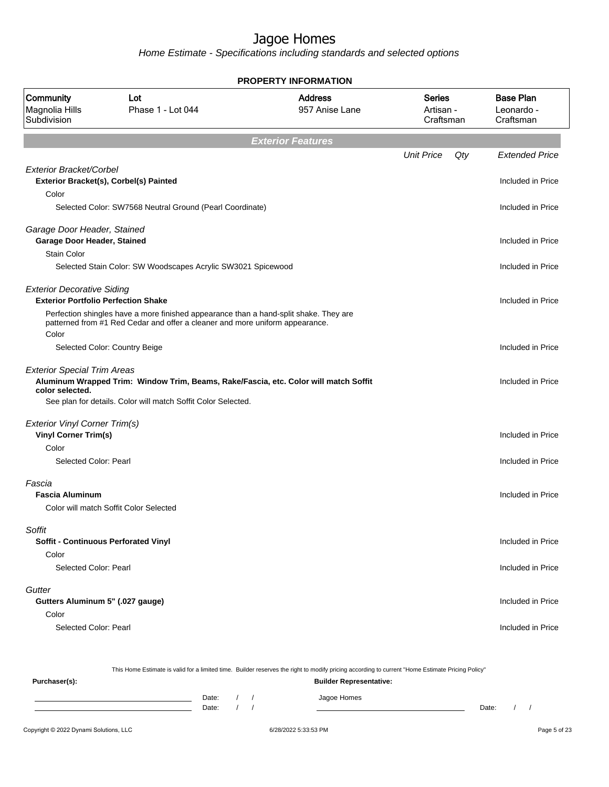Home Estimate - Specifications including standards and selected options

|                                                                                 |                                                                                                                                                                       | <b>PROPERTY INFORMATION</b>      |                                         |     |                                             |
|---------------------------------------------------------------------------------|-----------------------------------------------------------------------------------------------------------------------------------------------------------------------|----------------------------------|-----------------------------------------|-----|---------------------------------------------|
| Community<br>Magnolia Hills<br>Subdivision                                      | Lot<br>Phase 1 - Lot 044                                                                                                                                              | <b>Address</b><br>957 Anise Lane | <b>Series</b><br>Artisan -<br>Craftsman |     | <b>Base Plan</b><br>Leonardo -<br>Craftsman |
|                                                                                 |                                                                                                                                                                       | <b>Exterior Features</b>         |                                         |     |                                             |
|                                                                                 |                                                                                                                                                                       |                                  | <b>Unit Price</b>                       | Qty | <b>Extended Price</b>                       |
| Exterior Bracket/Corbel<br>Color                                                | Exterior Bracket(s), Corbel(s) Painted                                                                                                                                |                                  |                                         |     | Included in Price                           |
|                                                                                 | Selected Color: SW7568 Neutral Ground (Pearl Coordinate)                                                                                                              |                                  |                                         |     | Included in Price                           |
| Garage Door Header, Stained<br>Garage Door Header, Stained                      |                                                                                                                                                                       |                                  |                                         |     | Included in Price                           |
| <b>Stain Color</b>                                                              | Selected Stain Color: SW Woodscapes Acrylic SW3021 Spicewood                                                                                                          |                                  |                                         |     | Included in Price                           |
| <b>Exterior Decorative Siding</b><br><b>Exterior Portfolio Perfection Shake</b> |                                                                                                                                                                       |                                  |                                         |     | Included in Price                           |
| Color                                                                           | Perfection shingles have a more finished appearance than a hand-split shake. They are<br>patterned from #1 Red Cedar and offer a cleaner and more uniform appearance. |                                  |                                         |     |                                             |
|                                                                                 | Selected Color: Country Beige                                                                                                                                         |                                  |                                         |     | Included in Price                           |
| <b>Exterior Special Trim Areas</b><br>color selected.                           | Aluminum Wrapped Trim: Window Trim, Beams, Rake/Fascia, etc. Color will match Soffit<br>See plan for details. Color will match Soffit Color Selected.                 |                                  |                                         |     | Included in Price                           |
| <b>Exterior Vinyl Corner Trim(s)</b>                                            |                                                                                                                                                                       |                                  |                                         |     |                                             |
| <b>Vinyl Corner Trim(s)</b><br>Color                                            |                                                                                                                                                                       |                                  |                                         |     | Included in Price                           |
| Selected Color: Pearl                                                           |                                                                                                                                                                       |                                  |                                         |     | Included in Price                           |
| Fascia<br><b>Fascia Aluminum</b>                                                | Color will match Soffit Color Selected                                                                                                                                |                                  |                                         |     | Included in Price                           |
| Soffit                                                                          |                                                                                                                                                                       |                                  |                                         |     |                                             |
| <b>Soffit - Continuous Perforated Vinyl</b><br>Color                            |                                                                                                                                                                       |                                  |                                         |     | Included in Price                           |
| Selected Color: Pearl                                                           |                                                                                                                                                                       |                                  |                                         |     | Included in Price                           |
| Gutter<br>Gutters Aluminum 5" (.027 gauge)                                      |                                                                                                                                                                       |                                  |                                         |     | Included in Price                           |
| Color                                                                           |                                                                                                                                                                       |                                  |                                         |     |                                             |
| Selected Color: Pearl                                                           |                                                                                                                                                                       |                                  |                                         |     | Included in Price                           |
|                                                                                 |                                                                                                                                                                       |                                  |                                         |     |                                             |

This Home Estimate is valid for a limited time. Builder reserves the right to modify pricing according to current "Home Estimate Pricing Policy" **Purchaser(s): Builder Representative:** Date: / / Jagoe Homes<br>Date: / / Jagoe Homes Date: / / **Date: / / 2006** Date: / / / Date: / / / Date: / / / 2006 Date: / / / 2006 Date: / / / 2006 Date: / / / 2006 Date: / / / 2007 Date: / / / 2007 Date: / / / 2007 Date: / / / 2007 Date: / / / 2007 Date: / / / 2007 D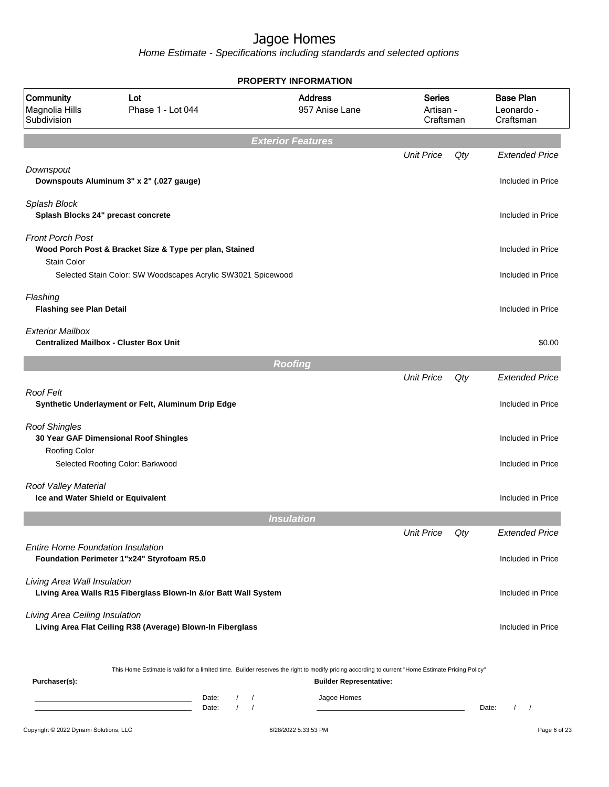|                                                            |                                                                                                                                                                                         | <b>PROPERTY INFORMATION</b> |                                  |                                         |     |                                             |
|------------------------------------------------------------|-----------------------------------------------------------------------------------------------------------------------------------------------------------------------------------------|-----------------------------|----------------------------------|-----------------------------------------|-----|---------------------------------------------|
| Community<br>Magnolia Hills<br>Subdivision                 | Lot<br>Phase 1 - Lot 044                                                                                                                                                                |                             | <b>Address</b><br>957 Anise Lane | <b>Series</b><br>Artisan -<br>Craftsman |     | <b>Base Plan</b><br>Leonardo -<br>Craftsman |
|                                                            |                                                                                                                                                                                         | <b>Exterior Features</b>    |                                  |                                         |     |                                             |
|                                                            |                                                                                                                                                                                         |                             |                                  | <b>Unit Price</b>                       | Qty | <b>Extended Price</b>                       |
| Downspout                                                  | Downspouts Aluminum 3" x 2" (.027 gauge)                                                                                                                                                |                             |                                  |                                         |     | Included in Price                           |
| Splash Block<br>Splash Blocks 24" precast concrete         |                                                                                                                                                                                         |                             |                                  |                                         |     | Included in Price                           |
| <b>Front Porch Post</b><br><b>Stain Color</b>              | Wood Porch Post & Bracket Size & Type per plan, Stained                                                                                                                                 |                             |                                  |                                         |     | Included in Price                           |
|                                                            | Selected Stain Color: SW Woodscapes Acrylic SW3021 Spicewood                                                                                                                            |                             |                                  |                                         |     | Included in Price                           |
| Flashing<br><b>Flashing see Plan Detail</b>                |                                                                                                                                                                                         |                             |                                  |                                         |     | Included in Price                           |
| <b>Exterior Mailbox</b>                                    | <b>Centralized Mailbox - Cluster Box Unit</b>                                                                                                                                           |                             |                                  |                                         |     | \$0.00                                      |
|                                                            |                                                                                                                                                                                         | <b>Roofing</b>              |                                  |                                         |     |                                             |
|                                                            |                                                                                                                                                                                         |                             |                                  | <b>Unit Price</b>                       | Qty | <b>Extended Price</b>                       |
| <b>Roof Felt</b>                                           | Synthetic Underlayment or Felt, Aluminum Drip Edge                                                                                                                                      |                             |                                  |                                         |     | Included in Price                           |
| <b>Roof Shingles</b><br>Roofing Color                      | 30 Year GAF Dimensional Roof Shingles                                                                                                                                                   |                             |                                  |                                         |     | Included in Price                           |
|                                                            | Selected Roofing Color: Barkwood                                                                                                                                                        |                             |                                  |                                         |     | Included in Price                           |
| Roof Valley Material<br>Ice and Water Shield or Equivalent |                                                                                                                                                                                         |                             |                                  |                                         |     | Included in Price                           |
|                                                            |                                                                                                                                                                                         | <b>Insulation</b>           |                                  |                                         |     |                                             |
|                                                            |                                                                                                                                                                                         |                             |                                  | <b>Unit Price</b>                       | Qty | <b>Extended Price</b>                       |
| Entire Home Foundation Insulation                          | Foundation Perimeter 1"x24" Styrofoam R5.0                                                                                                                                              |                             |                                  |                                         |     | Included in Price                           |
| Living Area Wall Insulation                                | Living Area Walls R15 Fiberglass Blown-In &/or Batt Wall System                                                                                                                         |                             |                                  |                                         |     | Included in Price                           |
| Living Area Ceiling Insulation                             | Living Area Flat Ceiling R38 (Average) Blown-In Fiberglass                                                                                                                              |                             |                                  |                                         |     | Included in Price                           |
| Purchaser(s):                                              | This Home Estimate is valid for a limited time. Builder reserves the right to modify pricing according to current "Home Estimate Pricing Policy"                                        |                             | <b>Builder Representative:</b>   |                                         |     |                                             |
|                                                            | Date:<br>$\sqrt{2}$<br>the control of the control of the control of the control of the control of<br>$\sqrt{ }$<br>Date:<br>the control of the control of the control of the control of | $\sqrt{2}$<br>$\sqrt{2}$    | Jagoe Homes                      |                                         |     | $1 \quad 1$<br>Date:                        |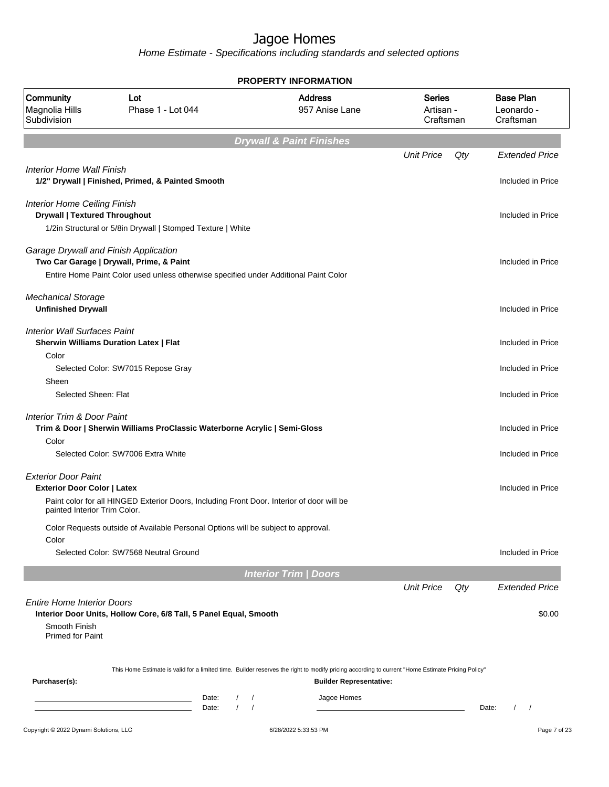|                                                                             |                                                                                           | <b>PROPERTY INFORMATION</b>                                                                                                                                                        |                                         |                                             |
|-----------------------------------------------------------------------------|-------------------------------------------------------------------------------------------|------------------------------------------------------------------------------------------------------------------------------------------------------------------------------------|-----------------------------------------|---------------------------------------------|
| Community<br>Magnolia Hills<br>Subdivision                                  | Lot<br>Phase 1 - Lot 044                                                                  | <b>Address</b><br>957 Anise Lane                                                                                                                                                   | <b>Series</b><br>Artisan -<br>Craftsman | <b>Base Plan</b><br>Leonardo -<br>Craftsman |
|                                                                             |                                                                                           | <b>Drywall &amp; Paint Finishes</b>                                                                                                                                                |                                         |                                             |
|                                                                             |                                                                                           |                                                                                                                                                                                    | <b>Unit Price</b><br>Qty                | <b>Extended Price</b>                       |
| Interior Home Wall Finish                                                   | 1/2" Drywall   Finished, Primed, & Painted Smooth                                         |                                                                                                                                                                                    |                                         | Included in Price                           |
| <b>Interior Home Ceiling Finish</b><br><b>Drywall   Textured Throughout</b> | 1/2in Structural or 5/8in Drywall   Stomped Texture   White                               |                                                                                                                                                                                    |                                         | Included in Price                           |
|                                                                             |                                                                                           |                                                                                                                                                                                    |                                         |                                             |
| Garage Drywall and Finish Application                                       | Two Car Garage   Drywall, Prime, & Paint                                                  |                                                                                                                                                                                    |                                         | Included in Price                           |
|                                                                             | Entire Home Paint Color used unless otherwise specified under Additional Paint Color      |                                                                                                                                                                                    |                                         |                                             |
| <b>Mechanical Storage</b><br><b>Unfinished Drywall</b>                      |                                                                                           |                                                                                                                                                                                    |                                         | Included in Price                           |
| <b>Interior Wall Surfaces Paint</b>                                         |                                                                                           |                                                                                                                                                                                    |                                         |                                             |
|                                                                             | <b>Sherwin Williams Duration Latex   Flat</b>                                             |                                                                                                                                                                                    |                                         | Included in Price                           |
| Color                                                                       |                                                                                           |                                                                                                                                                                                    |                                         |                                             |
| Sheen                                                                       | Selected Color: SW7015 Repose Gray                                                        |                                                                                                                                                                                    |                                         | Included in Price                           |
| Selected Sheen: Flat                                                        |                                                                                           |                                                                                                                                                                                    |                                         | Included in Price                           |
| <b>Interior Trim &amp; Door Paint</b>                                       | Trim & Door   Sherwin Williams ProClassic Waterborne Acrylic   Semi-Gloss                 |                                                                                                                                                                                    |                                         | Included in Price                           |
| Color                                                                       |                                                                                           |                                                                                                                                                                                    |                                         |                                             |
|                                                                             | Selected Color: SW7006 Extra White                                                        |                                                                                                                                                                                    |                                         | Included in Price                           |
| <b>Exterior Door Paint</b>                                                  |                                                                                           |                                                                                                                                                                                    |                                         |                                             |
| <b>Exterior Door Color   Latex</b><br>painted Interior Trim Color.          | Paint color for all HINGED Exterior Doors, Including Front Door. Interior of door will be |                                                                                                                                                                                    |                                         | Included in Price                           |
|                                                                             | Color Requests outside of Available Personal Options will be subject to approval.         |                                                                                                                                                                                    |                                         |                                             |
| Color                                                                       | Selected Color: SW7568 Neutral Ground                                                     |                                                                                                                                                                                    |                                         | Included in Price                           |
|                                                                             |                                                                                           |                                                                                                                                                                                    |                                         |                                             |
|                                                                             |                                                                                           | <b>Interior Trim / Doors</b>                                                                                                                                                       | <b>Unit Price</b><br>Qty                | <b>Extended Price</b>                       |
| <b>Entire Home Interior Doors</b>                                           | Interior Door Units, Hollow Core, 6/8 Tall, 5 Panel Equal, Smooth                         |                                                                                                                                                                                    |                                         | \$0.00                                      |
| Smooth Finish<br><b>Primed for Paint</b>                                    |                                                                                           |                                                                                                                                                                                    |                                         |                                             |
| Purchaser(s):                                                               |                                                                                           | This Home Estimate is valid for a limited time. Builder reserves the right to modify pricing according to current "Home Estimate Pricing Policy"<br><b>Builder Representative:</b> |                                         |                                             |
|                                                                             | Date:<br>$\sqrt{2}$<br>$\prime$<br>Date:                                                  | Jagoe Homes<br>$\prime$<br>$\prime$                                                                                                                                                |                                         | Date:                                       |
| Copyright © 2022 Dynami Solutions, LLC                                      |                                                                                           | 6/28/2022 5:33:53 PM                                                                                                                                                               |                                         | Page 7 of 23                                |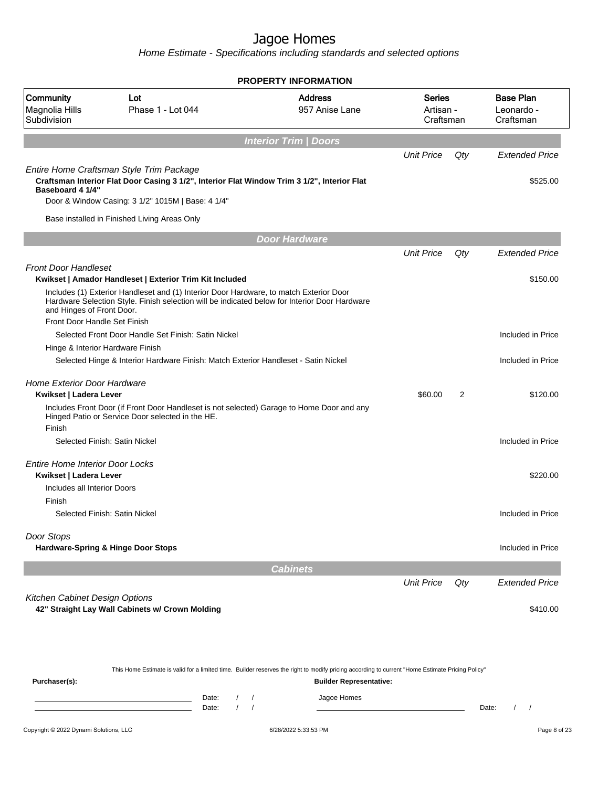|                                            |                                                                                                                                                                                         | <b>PROPERTY INFORMATION</b>      |                                  |     |                                             |
|--------------------------------------------|-----------------------------------------------------------------------------------------------------------------------------------------------------------------------------------------|----------------------------------|----------------------------------|-----|---------------------------------------------|
| Community<br>Magnolia Hills<br>Subdivision | Lot<br>Phase 1 - Lot 044                                                                                                                                                                | <b>Address</b><br>957 Anise Lane | Series<br>Artisan -<br>Craftsman |     | <b>Base Plan</b><br>Leonardo -<br>Craftsman |
|                                            |                                                                                                                                                                                         | <b>Interior Trim / Doors</b>     |                                  |     |                                             |
|                                            |                                                                                                                                                                                         |                                  | <b>Unit Price</b>                | Qty | <b>Extended Price</b>                       |
| Baseboard 4 1/4"                           | Entire Home Craftsman Style Trim Package<br>Craftsman Interior Flat Door Casing 3 1/2", Interior Flat Window Trim 3 1/2", Interior Flat                                                 |                                  |                                  |     | \$525.00                                    |
|                                            | Door & Window Casing: 3 1/2" 1015M   Base: 4 1/4"                                                                                                                                       |                                  |                                  |     |                                             |
|                                            | Base installed in Finished Living Areas Only                                                                                                                                            |                                  |                                  |     |                                             |
|                                            |                                                                                                                                                                                         | <b>Door Hardware</b>             |                                  |     |                                             |
|                                            |                                                                                                                                                                                         |                                  | <b>Unit Price</b>                | Qty | <b>Extended Price</b>                       |
| <b>Front Door Handleset</b>                | Kwikset   Amador Handleset   Exterior Trim Kit Included                                                                                                                                 |                                  |                                  |     | \$150.00                                    |
| and Hinges of Front Door.                  | Includes (1) Exterior Handleset and (1) Interior Door Hardware, to match Exterior Door<br>Hardware Selection Style. Finish selection will be indicated below for Interior Door Hardware |                                  |                                  |     |                                             |
| Front Door Handle Set Finish               |                                                                                                                                                                                         |                                  |                                  |     |                                             |
|                                            | Selected Front Door Handle Set Finish: Satin Nickel                                                                                                                                     |                                  |                                  |     | Included in Price                           |
| Hinge & Interior Hardware Finish           |                                                                                                                                                                                         |                                  |                                  |     |                                             |
|                                            | Selected Hinge & Interior Hardware Finish: Match Exterior Handleset - Satin Nickel                                                                                                      |                                  |                                  |     | Included in Price                           |
| <b>Home Exterior Door Hardware</b>         |                                                                                                                                                                                         |                                  |                                  |     |                                             |
| Kwikset   Ladera Lever                     |                                                                                                                                                                                         |                                  | \$60.00                          | 2   | \$120.00                                    |
|                                            | Includes Front Door (if Front Door Handleset is not selected) Garage to Home Door and any<br>Hinged Patio or Service Door selected in the HE.                                           |                                  |                                  |     |                                             |
| Finish                                     | Selected Finish: Satin Nickel                                                                                                                                                           |                                  |                                  |     |                                             |
|                                            |                                                                                                                                                                                         |                                  |                                  |     | Included in Price                           |
| <b>Entire Home Interior Door Locks</b>     |                                                                                                                                                                                         |                                  |                                  |     |                                             |
| Kwikset   Ladera Lever                     |                                                                                                                                                                                         |                                  |                                  |     | \$220.00                                    |
| Includes all Interior Doors                |                                                                                                                                                                                         |                                  |                                  |     |                                             |
| Finish                                     |                                                                                                                                                                                         |                                  |                                  |     |                                             |
|                                            | Selected Finish: Satin Nickel                                                                                                                                                           |                                  |                                  |     | Included in Price                           |
| Door Stops                                 |                                                                                                                                                                                         |                                  |                                  |     |                                             |
|                                            | Hardware-Spring & Hinge Door Stops                                                                                                                                                      |                                  |                                  |     | Included in Price                           |
|                                            |                                                                                                                                                                                         | <b>Cabinets</b>                  |                                  |     |                                             |
|                                            |                                                                                                                                                                                         |                                  | <b>Unit Price</b>                | Qty | <b>Extended Price</b>                       |
| Kitchen Cabinet Design Options             | 42" Straight Lay Wall Cabinets w/ Crown Molding                                                                                                                                         |                                  |                                  |     | \$410.00                                    |

|               |       |  | This Home Estimate is valid for a limited time. Builder reserves the right to modify pricing according to current "Home Estimate Pricing Policy" |       |  |
|---------------|-------|--|--------------------------------------------------------------------------------------------------------------------------------------------------|-------|--|
| Purchaser(s): |       |  | <b>Builder Representative:</b>                                                                                                                   |       |  |
|               | Date: |  | Jagoe Homes                                                                                                                                      |       |  |
|               | Date: |  |                                                                                                                                                  | Date: |  |
|               |       |  |                                                                                                                                                  |       |  |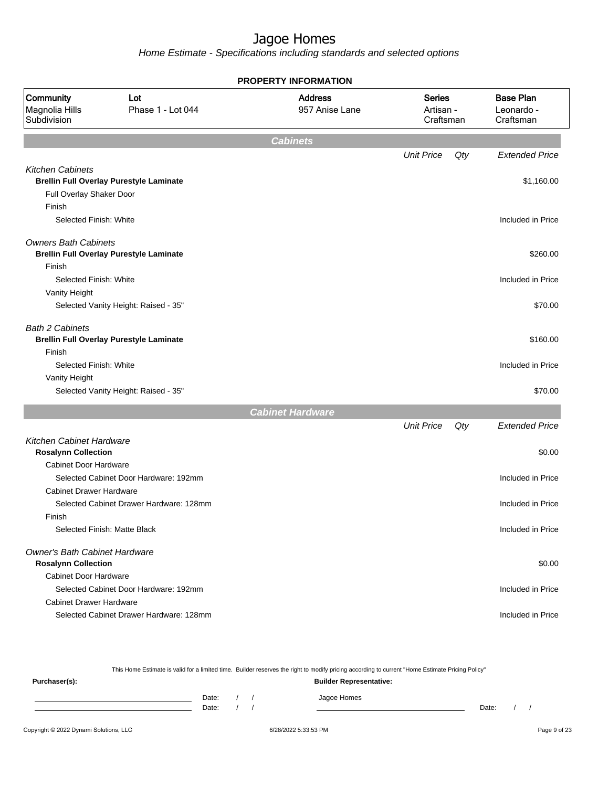|                                                               |                                                | <b>PROPERTY INFORMATION</b>      |                                         |     |                                             |
|---------------------------------------------------------------|------------------------------------------------|----------------------------------|-----------------------------------------|-----|---------------------------------------------|
| Community<br>Magnolia Hills<br>Subdivision                    | Lot<br>Phase 1 - Lot 044                       | <b>Address</b><br>957 Anise Lane | <b>Series</b><br>Artisan -<br>Craftsman |     | <b>Base Plan</b><br>Leonardo -<br>Craftsman |
|                                                               |                                                | <b>Cabinets</b>                  |                                         |     |                                             |
|                                                               |                                                |                                  | <b>Unit Price</b>                       | Qty | <b>Extended Price</b>                       |
| <b>Kitchen Cabinets</b>                                       |                                                |                                  |                                         |     |                                             |
|                                                               | <b>Brellin Full Overlay Purestyle Laminate</b> |                                  |                                         |     | \$1,160.00                                  |
| Full Overlay Shaker Door                                      |                                                |                                  |                                         |     |                                             |
| Finish                                                        |                                                |                                  |                                         |     |                                             |
| Selected Finish: White                                        |                                                |                                  |                                         |     | Included in Price                           |
| <b>Owners Bath Cabinets</b>                                   | <b>Brellin Full Overlay Purestyle Laminate</b> |                                  |                                         |     | \$260.00                                    |
| Finish                                                        |                                                |                                  |                                         |     |                                             |
| Selected Finish: White                                        |                                                |                                  |                                         |     | Included in Price                           |
| Vanity Height                                                 |                                                |                                  |                                         |     |                                             |
|                                                               | Selected Vanity Height: Raised - 35"           |                                  |                                         |     | \$70.00                                     |
| <b>Bath 2 Cabinets</b>                                        | <b>Brellin Full Overlay Purestyle Laminate</b> |                                  |                                         |     | \$160.00                                    |
| Finish                                                        |                                                |                                  |                                         |     |                                             |
| Selected Finish: White                                        |                                                |                                  |                                         |     | Included in Price                           |
| Vanity Height                                                 |                                                |                                  |                                         |     |                                             |
|                                                               | Selected Vanity Height: Raised - 35"           |                                  |                                         |     | \$70.00                                     |
|                                                               |                                                | <b>Cabinet Hardware</b>          |                                         |     |                                             |
|                                                               |                                                |                                  | <b>Unit Price</b>                       | Qty | <b>Extended Price</b>                       |
| <b>Kitchen Cabinet Hardware</b><br><b>Rosalynn Collection</b> |                                                |                                  |                                         |     | \$0.00                                      |
| <b>Cabinet Door Hardware</b>                                  |                                                |                                  |                                         |     |                                             |
|                                                               | Selected Cabinet Door Hardware: 192mm          |                                  |                                         |     | Included in Price                           |
| <b>Cabinet Drawer Hardware</b>                                |                                                |                                  |                                         |     |                                             |
|                                                               | Selected Cabinet Drawer Hardware: 128mm        |                                  |                                         |     | Included in Price                           |
| Finish                                                        |                                                |                                  |                                         |     |                                             |
|                                                               | Selected Finish: Matte Black                   |                                  |                                         |     | Included in Price                           |
| Owner's Bath Cabinet Hardware                                 |                                                |                                  |                                         |     |                                             |
| <b>Rosalynn Collection</b>                                    |                                                |                                  |                                         |     | \$0.00                                      |
| <b>Cabinet Door Hardware</b>                                  |                                                |                                  |                                         |     |                                             |
|                                                               | Selected Cabinet Door Hardware: 192mm          |                                  |                                         |     | Included in Price                           |
| <b>Cabinet Drawer Hardware</b>                                |                                                |                                  |                                         |     |                                             |
|                                                               | Selected Cabinet Drawer Hardware: 128mm        |                                  |                                         |     | Included in Price                           |
|                                                               |                                                |                                  |                                         |     |                                             |

|               |       |  | This Home Estimate is valid for a limited time. Builder reserves the right to modify pricing according to current "Home Estimate Pricing Policy" |  |  |
|---------------|-------|--|--------------------------------------------------------------------------------------------------------------------------------------------------|--|--|
| Purchaser(s): |       |  | <b>Builder Representative:</b>                                                                                                                   |  |  |
|               | Date: |  | Jagoe Homes                                                                                                                                      |  |  |
|               | Date: |  | Date:                                                                                                                                            |  |  |
|               |       |  |                                                                                                                                                  |  |  |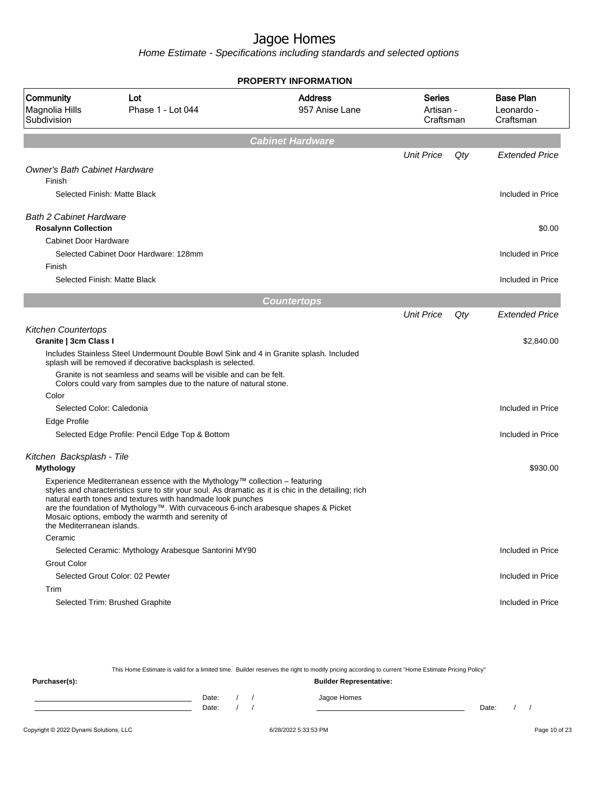Home Estimate - Specifications including standards and selected options

|                                                              |                                                                                                                                                                                                                                                                                                                                                                                              | <b>PROPERTY INFORMATION</b>      |                                  |     |                                             |
|--------------------------------------------------------------|----------------------------------------------------------------------------------------------------------------------------------------------------------------------------------------------------------------------------------------------------------------------------------------------------------------------------------------------------------------------------------------------|----------------------------------|----------------------------------|-----|---------------------------------------------|
| Community<br>Magnolia Hills<br>Subdivision                   | Lot<br>Phase 1 - Lot 044                                                                                                                                                                                                                                                                                                                                                                     | <b>Address</b><br>957 Anise Lane | Series<br>Artisan -<br>Craftsman |     | <b>Base Plan</b><br>Leonardo -<br>Craftsman |
|                                                              |                                                                                                                                                                                                                                                                                                                                                                                              | <b>Cabinet Hardware</b>          |                                  |     |                                             |
|                                                              |                                                                                                                                                                                                                                                                                                                                                                                              |                                  | <b>Unit Price</b>                | Qty | <b>Extended Price</b>                       |
| <b>Owner's Bath Cabinet Hardware</b><br>Finish               |                                                                                                                                                                                                                                                                                                                                                                                              |                                  |                                  |     |                                             |
|                                                              | Selected Finish: Matte Black                                                                                                                                                                                                                                                                                                                                                                 |                                  |                                  |     | Included in Price                           |
| <b>Bath 2 Cabinet Hardware</b><br><b>Rosalynn Collection</b> |                                                                                                                                                                                                                                                                                                                                                                                              |                                  |                                  |     | \$0.00                                      |
| Cabinet Door Hardware                                        |                                                                                                                                                                                                                                                                                                                                                                                              |                                  |                                  |     |                                             |
|                                                              | Selected Cabinet Door Hardware: 128mm                                                                                                                                                                                                                                                                                                                                                        |                                  |                                  |     | Included in Price                           |
| Finish                                                       |                                                                                                                                                                                                                                                                                                                                                                                              |                                  |                                  |     |                                             |
|                                                              | Selected Finish: Matte Black                                                                                                                                                                                                                                                                                                                                                                 |                                  |                                  |     | Included in Price                           |
|                                                              |                                                                                                                                                                                                                                                                                                                                                                                              | <b>Countertops</b>               |                                  |     |                                             |
|                                                              |                                                                                                                                                                                                                                                                                                                                                                                              |                                  | <b>Unit Price</b>                | Qty | <b>Extended Price</b>                       |
| <b>Kitchen Countertops</b><br>Granite   3cm Class I          |                                                                                                                                                                                                                                                                                                                                                                                              |                                  |                                  |     | \$2,840.00                                  |
|                                                              | Includes Stainless Steel Undermount Double Bowl Sink and 4 in Granite splash. Included<br>splash will be removed if decorative backsplash is selected.                                                                                                                                                                                                                                       |                                  |                                  |     |                                             |
|                                                              | Granite is not seamless and seams will be visible and can be felt.<br>Colors could vary from samples due to the nature of natural stone.                                                                                                                                                                                                                                                     |                                  |                                  |     |                                             |
| Color                                                        |                                                                                                                                                                                                                                                                                                                                                                                              |                                  |                                  |     |                                             |
| Selected Color: Caledonia                                    |                                                                                                                                                                                                                                                                                                                                                                                              |                                  |                                  |     | Included in Price                           |
| Edge Profile                                                 |                                                                                                                                                                                                                                                                                                                                                                                              |                                  |                                  |     |                                             |
|                                                              | Selected Edge Profile: Pencil Edge Top & Bottom                                                                                                                                                                                                                                                                                                                                              |                                  |                                  |     | Included in Price                           |
| Kitchen Backsplash - Tile                                    |                                                                                                                                                                                                                                                                                                                                                                                              |                                  |                                  |     |                                             |
| Mythology                                                    |                                                                                                                                                                                                                                                                                                                                                                                              |                                  |                                  |     | \$930.00                                    |
| the Mediterranean islands.                                   | Experience Mediterranean essence with the Mythology™ collection - featuring<br>styles and characteristics sure to stir your soul. As dramatic as it is chic in the detailing; rich<br>natural earth tones and textures with handmade look punches<br>are the foundation of Mythology™. With curvaceous 6-inch arabesque shapes & Picket<br>Mosaic options, embody the warmth and serenity of |                                  |                                  |     |                                             |
| Ceramic                                                      |                                                                                                                                                                                                                                                                                                                                                                                              |                                  |                                  |     |                                             |
|                                                              | Selected Ceramic: Mythology Arabesque Santorini MY90                                                                                                                                                                                                                                                                                                                                         |                                  |                                  |     | Included in Price                           |
| <b>Grout Color</b>                                           |                                                                                                                                                                                                                                                                                                                                                                                              |                                  |                                  |     |                                             |
|                                                              | Selected Grout Color: 02 Pewter                                                                                                                                                                                                                                                                                                                                                              |                                  |                                  |     | Included in Price                           |
| Trim                                                         |                                                                                                                                                                                                                                                                                                                                                                                              |                                  |                                  |     |                                             |
|                                                              | Selected Trim: Brushed Graphite                                                                                                                                                                                                                                                                                                                                                              |                                  |                                  |     | Included in Price                           |

This Home Estimate is valid for a limited time. Builder reserves the right to modify pricing according to current "Home Estimate Pricing Policy"

**Purchaser(s): Builder Representative:** Date: / / Jagoe Homes<br>Date: / / Jagoe Homes Date: / / Date: / /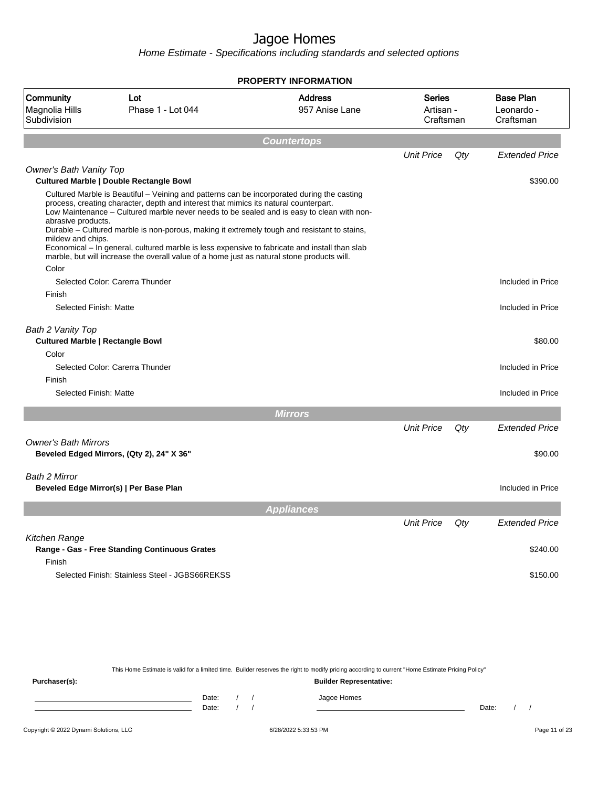Home Estimate - Specifications including standards and selected options

|                                                                       |                                                                                                                                                                                                                                                                                                                                                                                                                                                                                                                                                                               | <b>PROPERTY INFORMATION</b>      |                                         |     |                                             |
|-----------------------------------------------------------------------|-------------------------------------------------------------------------------------------------------------------------------------------------------------------------------------------------------------------------------------------------------------------------------------------------------------------------------------------------------------------------------------------------------------------------------------------------------------------------------------------------------------------------------------------------------------------------------|----------------------------------|-----------------------------------------|-----|---------------------------------------------|
| Community<br>Magnolia Hills<br>Subdivision                            | Lot<br>Phase 1 - Lot 044                                                                                                                                                                                                                                                                                                                                                                                                                                                                                                                                                      | <b>Address</b><br>957 Anise Lane | <b>Series</b><br>Artisan -<br>Craftsman |     | <b>Base Plan</b><br>Leonardo -<br>Craftsman |
|                                                                       |                                                                                                                                                                                                                                                                                                                                                                                                                                                                                                                                                                               | Countertops                      |                                         |     |                                             |
|                                                                       |                                                                                                                                                                                                                                                                                                                                                                                                                                                                                                                                                                               |                                  | <b>Unit Price</b>                       | Qty | <b>Extended Price</b>                       |
| <b>Owner's Bath Vanity Top</b>                                        | <b>Cultured Marble   Double Rectangle Bowl</b>                                                                                                                                                                                                                                                                                                                                                                                                                                                                                                                                |                                  |                                         |     | \$390.00                                    |
| abrasive products.<br>mildew and chips.<br>Color                      | Cultured Marble is Beautiful – Veining and patterns can be incorporated during the casting<br>process, creating character, depth and interest that mimics its natural counterpart.<br>Low Maintenance - Cultured marble never needs to be sealed and is easy to clean with non-<br>Durable – Cultured marble is non-porous, making it extremely tough and resistant to stains,<br>Economical – In general, cultured marble is less expensive to fabricate and install than slab<br>marble, but will increase the overall value of a home just as natural stone products will. |                                  |                                         |     |                                             |
|                                                                       | Selected Color: Carerra Thunder                                                                                                                                                                                                                                                                                                                                                                                                                                                                                                                                               |                                  |                                         |     | Included in Price                           |
| Finish                                                                |                                                                                                                                                                                                                                                                                                                                                                                                                                                                                                                                                                               |                                  |                                         |     |                                             |
| Selected Finish: Matte                                                |                                                                                                                                                                                                                                                                                                                                                                                                                                                                                                                                                                               |                                  |                                         |     | Included in Price                           |
| Bath 2 Vanity Top<br><b>Cultured Marble   Rectangle Bowl</b><br>Color |                                                                                                                                                                                                                                                                                                                                                                                                                                                                                                                                                                               |                                  |                                         |     | \$80.00                                     |
|                                                                       | Selected Color: Carerra Thunder                                                                                                                                                                                                                                                                                                                                                                                                                                                                                                                                               |                                  |                                         |     | Included in Price                           |
| Finish                                                                |                                                                                                                                                                                                                                                                                                                                                                                                                                                                                                                                                                               |                                  |                                         |     |                                             |
| Selected Finish: Matte                                                |                                                                                                                                                                                                                                                                                                                                                                                                                                                                                                                                                                               |                                  |                                         |     | Included in Price                           |
|                                                                       |                                                                                                                                                                                                                                                                                                                                                                                                                                                                                                                                                                               | <b>Mirrors</b>                   |                                         |     |                                             |
|                                                                       |                                                                                                                                                                                                                                                                                                                                                                                                                                                                                                                                                                               |                                  | <b>Unit Price</b>                       | Qty | <b>Extended Price</b>                       |
| <b>Owner's Bath Mirrors</b>                                           | Beveled Edged Mirrors, (Qty 2), 24" X 36"                                                                                                                                                                                                                                                                                                                                                                                                                                                                                                                                     |                                  |                                         |     | \$90.00                                     |
| Bath 2 Mirror                                                         | Beveled Edge Mirror(s)   Per Base Plan                                                                                                                                                                                                                                                                                                                                                                                                                                                                                                                                        |                                  |                                         |     | Included in Price                           |
|                                                                       |                                                                                                                                                                                                                                                                                                                                                                                                                                                                                                                                                                               | <b>Appliances</b>                |                                         |     |                                             |
|                                                                       |                                                                                                                                                                                                                                                                                                                                                                                                                                                                                                                                                                               |                                  | <b>Unit Price</b>                       | Qty | <b>Extended Price</b>                       |
| Kitchen Range<br>Finish                                               | Range - Gas - Free Standing Continuous Grates                                                                                                                                                                                                                                                                                                                                                                                                                                                                                                                                 |                                  |                                         |     | \$240.00                                    |
|                                                                       | Selected Finish: Stainless Steel - JGBS66REKSS                                                                                                                                                                                                                                                                                                                                                                                                                                                                                                                                |                                  |                                         |     | \$150.00                                    |

This Home Estimate is valid for a limited time. Builder reserves the right to modify pricing according to current "Home Estimate Pricing Policy"

**Purchaser(s): Builder Representative:** Date: / / Jagoe Homes<br>Date: / / Jagoe Homes Date: / / **Date: / / 2006** Date: / / / Date: / / / Date: / / / 2006 Date: / / / 2006 Date: / / / 2006 Date: / / / 2006 Date: / / / 2007 Date: / / / 2007 Date: / / / 2007 Date: / / / 2007 Date: / / / 2007 Date: / / / 2007 D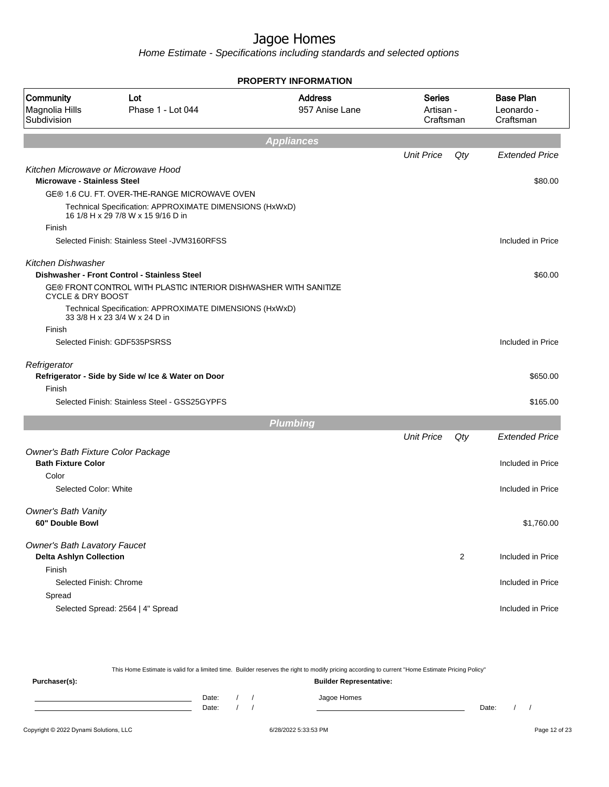Home Estimate - Specifications including standards and selected options

|                                                                           |                                                                                               | <b>PROPERTY INFORMATION</b>      |                                         |                |                                             |
|---------------------------------------------------------------------------|-----------------------------------------------------------------------------------------------|----------------------------------|-----------------------------------------|----------------|---------------------------------------------|
| Community<br>Magnolia Hills<br>Subdivision                                | Lot<br>Phase 1 - Lot 044                                                                      | <b>Address</b><br>957 Anise Lane | <b>Series</b><br>Artisan -<br>Craftsman |                | <b>Base Plan</b><br>Leonardo -<br>Craftsman |
|                                                                           |                                                                                               | <b>Appliances</b>                |                                         |                |                                             |
|                                                                           |                                                                                               |                                  | <b>Unit Price</b>                       | Qty            | <b>Extended Price</b>                       |
| Kitchen Microwave or Microwave Hood<br><b>Microwave - Stainless Steel</b> |                                                                                               |                                  |                                         |                | \$80.00                                     |
|                                                                           | GE® 1.6 CU. FT. OVER-THE-RANGE MICROWAVE OVEN                                                 |                                  |                                         |                |                                             |
|                                                                           | Technical Specification: APPROXIMATE DIMENSIONS (HxWxD)<br>16 1/8 H x 29 7/8 W x 15 9/16 D in |                                  |                                         |                |                                             |
| Finish                                                                    |                                                                                               |                                  |                                         |                |                                             |
|                                                                           | Selected Finish: Stainless Steel - JVM3160RFSS                                                |                                  |                                         |                | Included in Price                           |
| <b>Kitchen Dishwasher</b>                                                 | Dishwasher - Front Control - Stainless Steel                                                  |                                  |                                         |                | \$60.00                                     |
| <b>CYCLE &amp; DRY BOOST</b>                                              | GE® FRONT CONTROL WITH PLASTIC INTERIOR DISHWASHER WITH SANITIZE                              |                                  |                                         |                |                                             |
|                                                                           | Technical Specification: APPROXIMATE DIMENSIONS (HxWxD)<br>33 3/8 H x 23 3/4 W x 24 D in      |                                  |                                         |                |                                             |
| Finish                                                                    |                                                                                               |                                  |                                         |                |                                             |
|                                                                           | Selected Finish: GDF535PSRSS                                                                  |                                  |                                         |                | Included in Price                           |
| Refrigerator                                                              | Refrigerator - Side by Side w/ Ice & Water on Door                                            |                                  |                                         |                | \$650.00                                    |
| Finish                                                                    |                                                                                               |                                  |                                         |                |                                             |
|                                                                           | Selected Finish: Stainless Steel - GSS25GYPFS                                                 |                                  |                                         |                | \$165.00                                    |
|                                                                           |                                                                                               | <b>Plumbing</b>                  |                                         |                |                                             |
|                                                                           |                                                                                               |                                  | <b>Unit Price</b>                       | Qty            | <b>Extended Price</b>                       |
| Owner's Bath Fixture Color Package<br><b>Bath Fixture Color</b>           |                                                                                               |                                  |                                         |                | Included in Price                           |
| Color                                                                     |                                                                                               |                                  |                                         |                |                                             |
| Selected Color: White                                                     |                                                                                               |                                  |                                         |                | Included in Price                           |
| <b>Owner's Bath Vanity</b><br>60" Double Bowl                             |                                                                                               |                                  |                                         |                | \$1,760.00                                  |
| <b>Owner's Bath Lavatory Faucet</b><br><b>Delta Ashlyn Collection</b>     |                                                                                               |                                  |                                         | $\overline{2}$ | Included in Price                           |
| Finish<br>Selected Finish: Chrome                                         |                                                                                               |                                  |                                         |                | Included in Price                           |
| Spread                                                                    |                                                                                               |                                  |                                         |                |                                             |
|                                                                           | Selected Spread: 2564   4" Spread                                                             |                                  |                                         |                | Included in Price                           |
|                                                                           |                                                                                               |                                  |                                         |                |                                             |

This Home Estimate is valid for a limited time. Builder reserves the right to modify pricing according to current "Home Estimate Pricing Policy" **Purchaser(s): Builder Representative:** Date: / / Jagoe Homes<br>Date: / / Jagoe Homes Date: / / Date: / /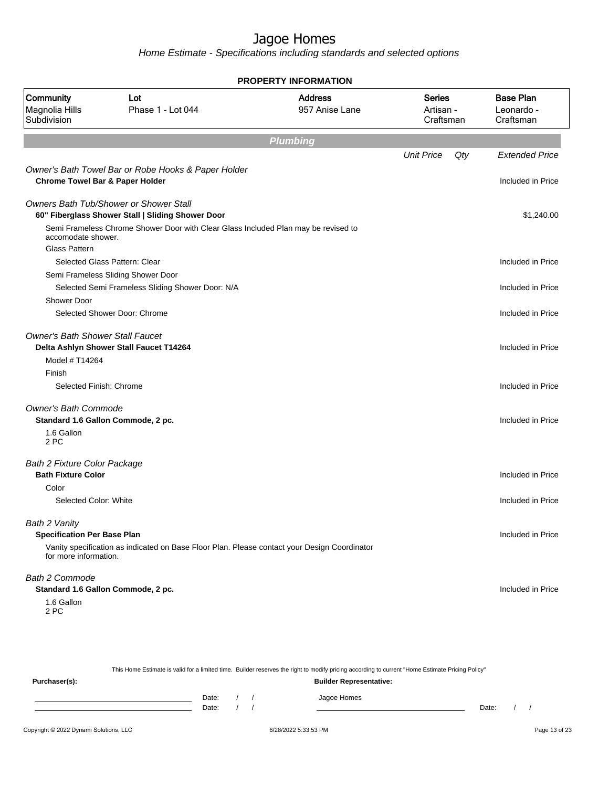|                                            | <b>PROPERTY INFORMATION</b>                                                                  |                                  |                                         |     |                                             |  |  |  |
|--------------------------------------------|----------------------------------------------------------------------------------------------|----------------------------------|-----------------------------------------|-----|---------------------------------------------|--|--|--|
| Community<br>Magnolia Hills<br>Subdivision | Lot<br>Phase 1 - Lot 044                                                                     | <b>Address</b><br>957 Anise Lane | <b>Series</b><br>Artisan -<br>Craftsman |     | <b>Base Plan</b><br>Leonardo -<br>Craftsman |  |  |  |
|                                            |                                                                                              | <b>Plumbing</b>                  |                                         |     |                                             |  |  |  |
|                                            |                                                                                              |                                  | <b>Unit Price</b>                       | Qty | <b>Extended Price</b>                       |  |  |  |
|                                            | Owner's Bath Towel Bar or Robe Hooks & Paper Holder                                          |                                  |                                         |     |                                             |  |  |  |
| <b>Chrome Towel Bar &amp; Paper Holder</b> |                                                                                              |                                  |                                         |     | Included in Price                           |  |  |  |
|                                            | <b>Owners Bath Tub/Shower or Shower Stall</b>                                                |                                  |                                         |     |                                             |  |  |  |
|                                            | 60" Fiberglass Shower Stall   Sliding Shower Door                                            |                                  |                                         |     | \$1,240.00                                  |  |  |  |
| accomodate shower.                         | Semi Frameless Chrome Shower Door with Clear Glass Included Plan may be revised to           |                                  |                                         |     |                                             |  |  |  |
| <b>Glass Pattern</b>                       |                                                                                              |                                  |                                         |     |                                             |  |  |  |
|                                            | Selected Glass Pattern: Clear                                                                |                                  |                                         |     | Included in Price                           |  |  |  |
|                                            | Semi Frameless Sliding Shower Door                                                           |                                  |                                         |     |                                             |  |  |  |
|                                            | Selected Semi Frameless Sliding Shower Door: N/A                                             |                                  |                                         |     | Included in Price                           |  |  |  |
| <b>Shower Door</b>                         |                                                                                              |                                  |                                         |     |                                             |  |  |  |
|                                            | Selected Shower Door: Chrome                                                                 |                                  |                                         |     | Included in Price                           |  |  |  |
| <b>Owner's Bath Shower Stall Faucet</b>    |                                                                                              |                                  |                                         |     |                                             |  |  |  |
|                                            | Delta Ashlyn Shower Stall Faucet T14264                                                      |                                  |                                         |     | Included in Price                           |  |  |  |
| Model # T14264                             |                                                                                              |                                  |                                         |     |                                             |  |  |  |
| Finish                                     |                                                                                              |                                  |                                         |     |                                             |  |  |  |
| Selected Finish: Chrome                    |                                                                                              |                                  |                                         |     | Included in Price                           |  |  |  |
| <b>Owner's Bath Commode</b>                |                                                                                              |                                  |                                         |     |                                             |  |  |  |
| Standard 1.6 Gallon Commode, 2 pc.         |                                                                                              |                                  |                                         |     | Included in Price                           |  |  |  |
| 1.6 Gallon<br>2 PC                         |                                                                                              |                                  |                                         |     |                                             |  |  |  |
| Bath 2 Fixture Color Package               |                                                                                              |                                  |                                         |     |                                             |  |  |  |
| <b>Bath Fixture Color</b>                  |                                                                                              |                                  |                                         |     | Included in Price                           |  |  |  |
| Color                                      |                                                                                              |                                  |                                         |     |                                             |  |  |  |
| Selected Color: White                      |                                                                                              |                                  |                                         |     | Included in Price                           |  |  |  |
| Bath 2 Vanity                              |                                                                                              |                                  |                                         |     |                                             |  |  |  |
| <b>Specification Per Base Plan</b>         |                                                                                              |                                  |                                         |     | Included in Price                           |  |  |  |
| for more information.                      | Vanity specification as indicated on Base Floor Plan. Please contact your Design Coordinator |                                  |                                         |     |                                             |  |  |  |
| Bath 2 Commode                             |                                                                                              |                                  |                                         |     |                                             |  |  |  |
| Standard 1.6 Gallon Commode, 2 pc.         |                                                                                              |                                  |                                         |     | Included in Price                           |  |  |  |
| 1.6 Gallon<br>2 PC                         |                                                                                              |                                  |                                         |     |                                             |  |  |  |
|                                            |                                                                                              |                                  |                                         |     |                                             |  |  |  |

|               |       |  | This Home Estimate is valid for a limited time. Builder reserves the right to modify pricing according to current "Home Estimate Pricing Policy" |       |  |
|---------------|-------|--|--------------------------------------------------------------------------------------------------------------------------------------------------|-------|--|
| Purchaser(s): |       |  | <b>Builder Representative:</b>                                                                                                                   |       |  |
|               | Date: |  | Jagoe Homes                                                                                                                                      |       |  |
|               | Date: |  |                                                                                                                                                  | Date: |  |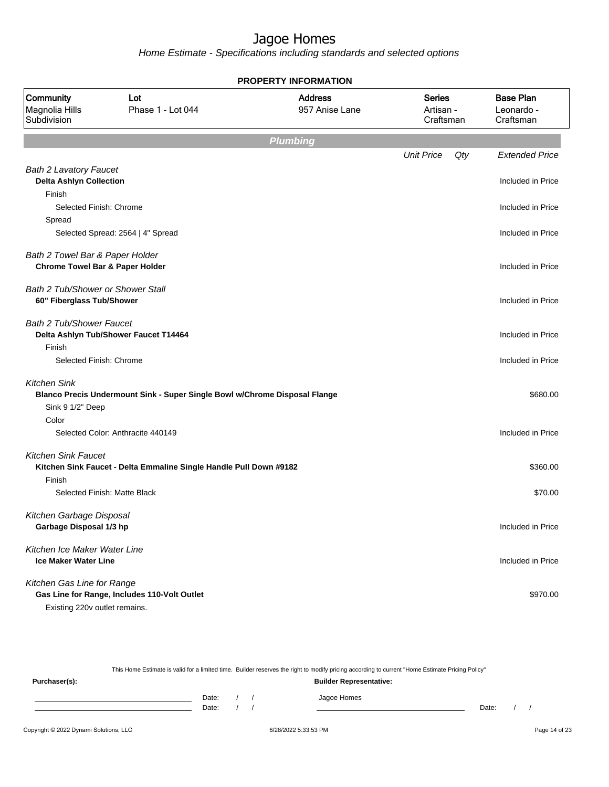| <b>PROPERTY INFORMATION</b>                                                   |                                                                            |                                  |                                         |                                             |  |  |  |
|-------------------------------------------------------------------------------|----------------------------------------------------------------------------|----------------------------------|-----------------------------------------|---------------------------------------------|--|--|--|
| Community<br>Magnolia Hills<br>Subdivision                                    | Lot<br>Phase 1 - Lot 044                                                   | <b>Address</b><br>957 Anise Lane | <b>Series</b><br>Artisan -<br>Craftsman | <b>Base Plan</b><br>Leonardo -<br>Craftsman |  |  |  |
|                                                                               |                                                                            | <b>Plumbing</b>                  |                                         |                                             |  |  |  |
|                                                                               |                                                                            |                                  | <b>Unit Price</b><br>$Q$ ty             | <b>Extended Price</b>                       |  |  |  |
| <b>Bath 2 Lavatory Faucet</b><br><b>Delta Ashlyn Collection</b>               |                                                                            |                                  |                                         | Included in Price                           |  |  |  |
| Finish<br>Selected Finish: Chrome                                             |                                                                            |                                  |                                         | Included in Price                           |  |  |  |
| Spread                                                                        | Selected Spread: 2564   4" Spread                                          |                                  |                                         | Included in Price                           |  |  |  |
| Bath 2 Towel Bar & Paper Holder<br><b>Chrome Towel Bar &amp; Paper Holder</b> |                                                                            |                                  |                                         | Included in Price                           |  |  |  |
| <b>Bath 2 Tub/Shower or Shower Stall</b><br>60" Fiberglass Tub/Shower         |                                                                            |                                  |                                         | Included in Price                           |  |  |  |
| Bath 2 Tub/Shower Faucet<br>Finish                                            | Delta Ashlyn Tub/Shower Faucet T14464                                      |                                  |                                         | Included in Price                           |  |  |  |
| Selected Finish: Chrome                                                       |                                                                            |                                  |                                         | Included in Price                           |  |  |  |
| <b>Kitchen Sink</b><br>Sink 9 1/2" Deep                                       | Blanco Precis Undermount Sink - Super Single Bowl w/Chrome Disposal Flange |                                  |                                         | \$680.00                                    |  |  |  |
| Color                                                                         | Selected Color: Anthracite 440149                                          |                                  |                                         | Included in Price                           |  |  |  |
| <b>Kitchen Sink Faucet</b>                                                    | Kitchen Sink Faucet - Delta Emmaline Single Handle Pull Down #9182         |                                  |                                         | \$360.00                                    |  |  |  |
| Finish                                                                        | Selected Finish: Matte Black                                               |                                  |                                         | \$70.00                                     |  |  |  |
| Kitchen Garbage Disposal<br>Garbage Disposal 1/3 hp                           |                                                                            |                                  |                                         | Included in Price                           |  |  |  |
| Kitchen Ice Maker Water Line<br><b>Ice Maker Water Line</b>                   |                                                                            |                                  |                                         | Included in Price                           |  |  |  |
| Kitchen Gas Line for Range<br>Existing 220v outlet remains.                   | Gas Line for Range, Includes 110-Volt Outlet                               |                                  |                                         | \$970.00                                    |  |  |  |

|               |       |  | This Home Estimate is valid for a limited time. Builder reserves the right to modify pricing according to current "Home Estimate Pricing Policy" |       |  |
|---------------|-------|--|--------------------------------------------------------------------------------------------------------------------------------------------------|-------|--|
| Purchaser(s): |       |  | <b>Builder Representative:</b>                                                                                                                   |       |  |
|               | Date: |  | Jagoe Homes                                                                                                                                      |       |  |
|               | Date: |  |                                                                                                                                                  | Date: |  |
|               |       |  |                                                                                                                                                  |       |  |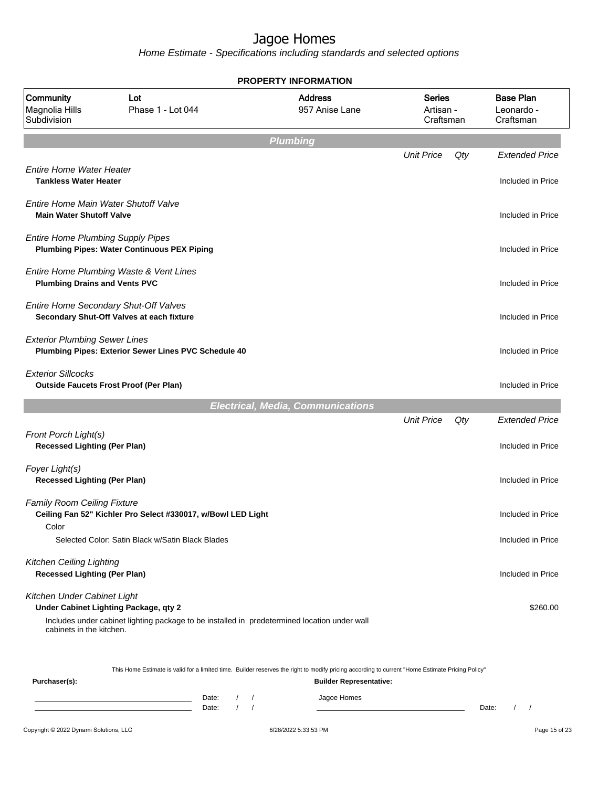|                                                                            |                                                                                              | <b>PROPERTY INFORMATION</b>              |                                  |     |                                             |
|----------------------------------------------------------------------------|----------------------------------------------------------------------------------------------|------------------------------------------|----------------------------------|-----|---------------------------------------------|
| Community<br>Magnolia Hills<br>Subdivision                                 | Lot<br>Phase 1 - Lot 044                                                                     | <b>Address</b><br>957 Anise Lane         | Series<br>Artisan -<br>Craftsman |     | <b>Base Plan</b><br>Leonardo -<br>Craftsman |
|                                                                            |                                                                                              | <b>Plumbing</b>                          |                                  |     |                                             |
|                                                                            |                                                                                              |                                          | <b>Unit Price</b>                | Qty | <b>Extended Price</b>                       |
| <b>Entire Home Water Heater</b><br><b>Tankless Water Heater</b>            |                                                                                              |                                          |                                  |     | Included in Price                           |
| Entire Home Main Water Shutoff Valve<br><b>Main Water Shutoff Valve</b>    |                                                                                              |                                          |                                  |     | Included in Price                           |
| <b>Entire Home Plumbing Supply Pipes</b>                                   | <b>Plumbing Pipes: Water Continuous PEX Piping</b>                                           |                                          |                                  |     | Included in Price                           |
| <b>Plumbing Drains and Vents PVC</b>                                       | Entire Home Plumbing Waste & Vent Lines                                                      |                                          |                                  |     | Included in Price                           |
| Entire Home Secondary Shut-Off Valves                                      | Secondary Shut-Off Valves at each fixture                                                    |                                          |                                  |     | Included in Price                           |
| <b>Exterior Plumbing Sewer Lines</b>                                       | Plumbing Pipes: Exterior Sewer Lines PVC Schedule 40                                         |                                          |                                  |     | Included in Price                           |
| <b>Exterior Sillcocks</b><br><b>Outside Faucets Frost Proof (Per Plan)</b> |                                                                                              |                                          |                                  |     | Included in Price                           |
|                                                                            |                                                                                              | <b>Electrical, Media, Communications</b> |                                  |     |                                             |
|                                                                            |                                                                                              |                                          | <b>Unit Price</b>                | Qty | <b>Extended Price</b>                       |
| Front Porch Light(s)<br><b>Recessed Lighting (Per Plan)</b>                |                                                                                              |                                          |                                  |     | Included in Price                           |
| Foyer Light(s)<br><b>Recessed Lighting (Per Plan)</b>                      |                                                                                              |                                          |                                  |     | Included in Price                           |
| <b>Family Room Ceiling Fixture</b>                                         | Ceiling Fan 52" Kichler Pro Select #330017, w/Bowl LED Light                                 |                                          |                                  |     | Included in Price                           |
| Color                                                                      | Selected Color: Satin Black w/Satin Black Blades                                             |                                          |                                  |     | Included in Price                           |
| Kitchen Ceiling Lighting<br><b>Recessed Lighting (Per Plan)</b>            |                                                                                              |                                          |                                  |     | Included in Price                           |
| Kitchen Under Cabinet Light<br>Under Cabinet Lighting Package, qty 2       |                                                                                              |                                          |                                  |     | \$260.00                                    |
|                                                                            | Includes under cabinet lighting package to be installed in predetermined location under wall |                                          |                                  |     |                                             |

| Purchaser(s): |       |  | <b>Builder Representative:</b> |       |  |
|---------------|-------|--|--------------------------------|-------|--|
|               | Date: |  | Jagoe Homes                    |       |  |
|               | Date: |  |                                | Date: |  |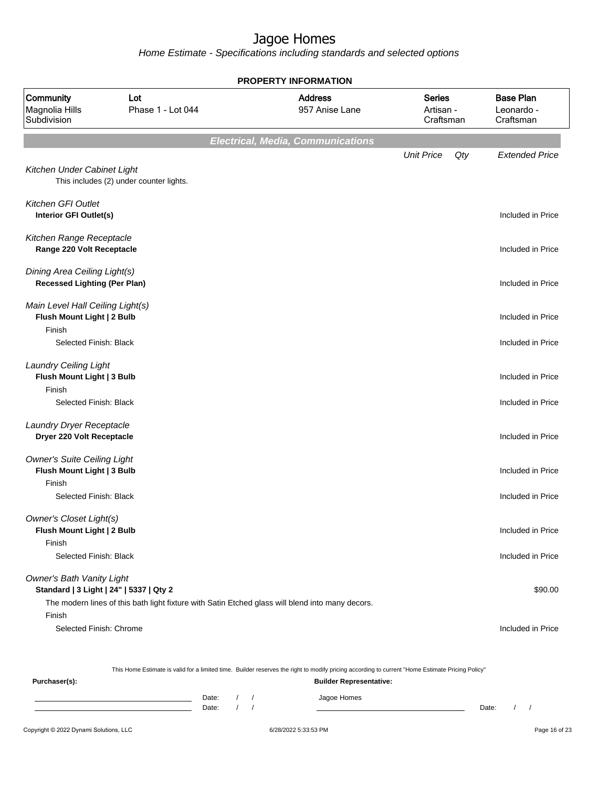Home Estimate - Specifications including standards and selected options

|                                                                            |                                                                                                  | <b>PROPERTY INFORMATION</b>                                                                                                                      |                                         |                                             |
|----------------------------------------------------------------------------|--------------------------------------------------------------------------------------------------|--------------------------------------------------------------------------------------------------------------------------------------------------|-----------------------------------------|---------------------------------------------|
| Community<br>Magnolia Hills<br>Subdivision                                 | Lot<br>Phase 1 - Lot 044                                                                         | <b>Address</b><br>957 Anise Lane                                                                                                                 | <b>Series</b><br>Artisan -<br>Craftsman | <b>Base Plan</b><br>Leonardo -<br>Craftsman |
|                                                                            |                                                                                                  | <b>Electrical, Media, Communications</b>                                                                                                         |                                         |                                             |
|                                                                            |                                                                                                  |                                                                                                                                                  | <b>Unit Price</b><br>Qty                | <b>Extended Price</b>                       |
| Kitchen Under Cabinet Light                                                | This includes (2) under counter lights.                                                          |                                                                                                                                                  |                                         |                                             |
| Kitchen GFI Outlet<br>Interior GFI Outlet(s)                               |                                                                                                  |                                                                                                                                                  |                                         | Included in Price                           |
| Kitchen Range Receptacle<br>Range 220 Volt Receptacle                      |                                                                                                  |                                                                                                                                                  |                                         | Included in Price                           |
| Dining Area Ceiling Light(s)<br><b>Recessed Lighting (Per Plan)</b>        |                                                                                                  |                                                                                                                                                  |                                         | Included in Price                           |
| Main Level Hall Ceiling Light(s)<br>Flush Mount Light   2 Bulb             |                                                                                                  |                                                                                                                                                  |                                         | Included in Price                           |
| Finish<br>Selected Finish: Black                                           |                                                                                                  |                                                                                                                                                  |                                         | Included in Price                           |
| <b>Laundry Ceiling Light</b><br>Flush Mount Light   3 Bulb<br>Finish       |                                                                                                  |                                                                                                                                                  |                                         | Included in Price                           |
| Selected Finish: Black                                                     |                                                                                                  |                                                                                                                                                  |                                         | Included in Price                           |
| Laundry Dryer Receptacle<br>Dryer 220 Volt Receptacle                      |                                                                                                  |                                                                                                                                                  |                                         | Included in Price                           |
| <b>Owner's Suite Ceiling Light</b><br>Flush Mount Light   3 Bulb<br>Finish |                                                                                                  |                                                                                                                                                  |                                         | Included in Price                           |
| Selected Finish: Black                                                     |                                                                                                  |                                                                                                                                                  |                                         | Included in Price                           |
| Owner's Closet Light(s)<br>Flush Mount Light   2 Bulb<br>Finish            |                                                                                                  |                                                                                                                                                  |                                         | Included in Price                           |
| Selected Finish: Black                                                     |                                                                                                  |                                                                                                                                                  |                                         | Included in Price                           |
| <b>Owner's Bath Vanity Light</b>                                           |                                                                                                  |                                                                                                                                                  |                                         |                                             |
| Standard   3 Light   24"   5337   Qty 2                                    |                                                                                                  |                                                                                                                                                  |                                         | \$90.00                                     |
| Finish                                                                     | The modern lines of this bath light fixture with Satin Etched glass will blend into many decors. |                                                                                                                                                  |                                         |                                             |
| Selected Finish: Chrome                                                    |                                                                                                  |                                                                                                                                                  |                                         | Included in Price                           |
|                                                                            |                                                                                                  | This Home Estimate is valid for a limited time. Builder reserves the right to modify pricing according to current "Home Estimate Pricing Policy" |                                         |                                             |
| Purchaser(s):                                                              |                                                                                                  | <b>Builder Representative:</b>                                                                                                                   |                                         |                                             |

Date: / / Jagoe Homes<br>Date: / / Jagoe Homes Date: / / Date: / /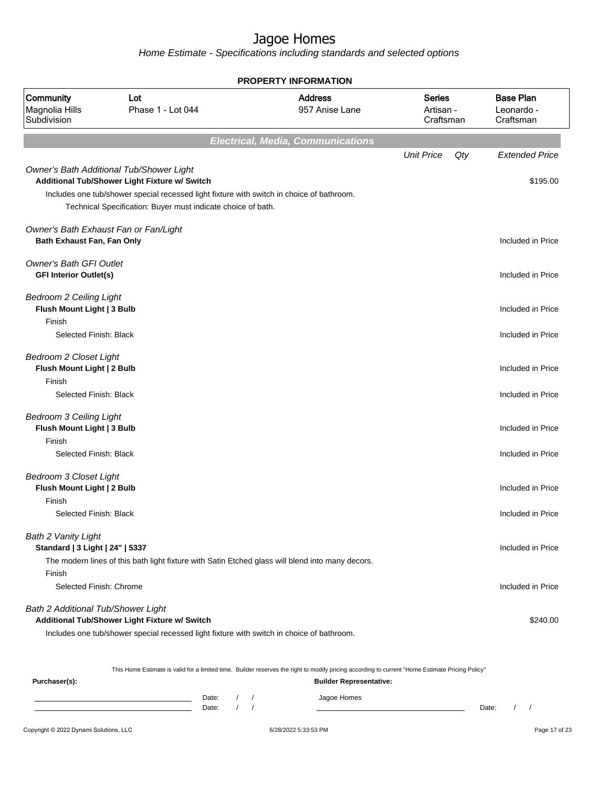Home Estimate - Specifications including standards and selected options

|                                                                                                  |                                                                                                                                                                                                                                                        | <b>PROPERTY INFORMATION</b>              |                                         |     |                                             |
|--------------------------------------------------------------------------------------------------|--------------------------------------------------------------------------------------------------------------------------------------------------------------------------------------------------------------------------------------------------------|------------------------------------------|-----------------------------------------|-----|---------------------------------------------|
| Community<br>Magnolia Hills<br>Subdivision                                                       | Lot<br>Phase 1 - Lot 044                                                                                                                                                                                                                               | <b>Address</b><br>957 Anise Lane         | <b>Series</b><br>Artisan -<br>Craftsman |     | <b>Base Plan</b><br>Leonardo -<br>Craftsman |
|                                                                                                  |                                                                                                                                                                                                                                                        | <b>Electrical, Media, Communications</b> |                                         |     |                                             |
|                                                                                                  |                                                                                                                                                                                                                                                        |                                          | <b>Unit Price</b>                       | Qty | <b>Extended Price</b>                       |
|                                                                                                  | Owner's Bath Additional Tub/Shower Light<br>Additional Tub/Shower Light Fixture w/ Switch<br>Includes one tub/shower special recessed light fixture with switch in choice of bathroom.<br>Technical Specification: Buyer must indicate choice of bath. |                                          |                                         |     | \$195.00                                    |
| Owner's Bath Exhaust Fan or Fan/Light<br>Bath Exhaust Fan, Fan Only                              |                                                                                                                                                                                                                                                        |                                          |                                         |     | Included in Price                           |
| <b>Owner's Bath GFI Outlet</b><br><b>GFI Interior Outlet(s)</b>                                  |                                                                                                                                                                                                                                                        |                                          |                                         |     | Included in Price                           |
| <b>Bedroom 2 Ceiling Light</b><br>Flush Mount Light   3 Bulb                                     |                                                                                                                                                                                                                                                        |                                          |                                         |     | Included in Price                           |
| Finish<br>Selected Finish: Black                                                                 |                                                                                                                                                                                                                                                        |                                          |                                         |     | Included in Price                           |
| <b>Bedroom 2 Closet Light</b><br>Flush Mount Light   2 Bulb                                      |                                                                                                                                                                                                                                                        |                                          |                                         |     | Included in Price                           |
| Finish<br>Selected Finish: Black                                                                 |                                                                                                                                                                                                                                                        |                                          |                                         |     | Included in Price                           |
| <b>Bedroom 3 Ceiling Light</b><br>Flush Mount Light   3 Bulb<br>Finish<br>Selected Finish: Black |                                                                                                                                                                                                                                                        |                                          |                                         |     | Included in Price<br>Included in Price      |
| <b>Bedroom 3 Closet Light</b><br>Flush Mount Light   2 Bulb                                      |                                                                                                                                                                                                                                                        |                                          |                                         |     | Included in Price                           |
| Finish<br>Selected Finish: Black                                                                 |                                                                                                                                                                                                                                                        |                                          |                                         |     | Included in Price                           |
| <b>Bath 2 Vanity Light</b><br>Standard   3 Light   24"   5337                                    | The modern lines of this bath light fixture with Satin Etched glass will blend into many decors.                                                                                                                                                       |                                          |                                         |     | Included in Price                           |
| Finish<br>Selected Finish: Chrome                                                                |                                                                                                                                                                                                                                                        |                                          |                                         |     | Included in Price                           |
| Bath 2 Additional Tub/Shower Light                                                               | Additional Tub/Shower Light Fixture w/ Switch<br>Includes one tub/shower special recessed light fixture with switch in choice of bathroom.                                                                                                             |                                          |                                         |     | \$240.00                                    |

This Home Estimate is valid for a limited time. Builder reserves the right to modify pricing according to current "Home Estimate Pricing Policy"

**Purchaser(s): Builder Representative:** Date: / / Jagoe Homes<br>Date: / / Jagoe Homes Date: / / Date: / /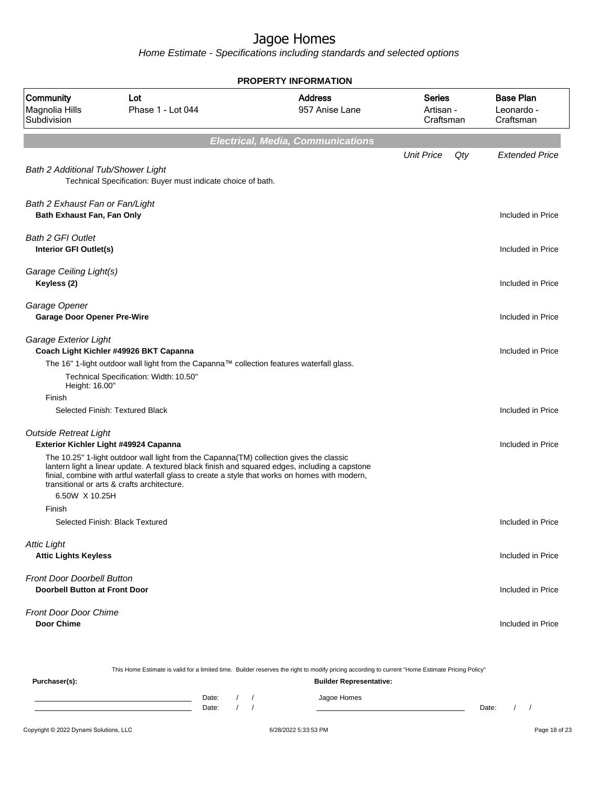Home Estimate - Specifications including standards and selected options

|                                                                           |                                                                                                                                                                                                                                                                                                                                                                                     | <b>PROPERTY INFORMATION</b>                                                                                                                      |                                         |                                             |
|---------------------------------------------------------------------------|-------------------------------------------------------------------------------------------------------------------------------------------------------------------------------------------------------------------------------------------------------------------------------------------------------------------------------------------------------------------------------------|--------------------------------------------------------------------------------------------------------------------------------------------------|-----------------------------------------|---------------------------------------------|
| Community<br>Magnolia Hills<br>Subdivision                                | Lot<br>Phase 1 - Lot 044                                                                                                                                                                                                                                                                                                                                                            | <b>Address</b><br>957 Anise Lane                                                                                                                 | <b>Series</b><br>Artisan -<br>Craftsman | <b>Base Plan</b><br>Leonardo -<br>Craftsman |
|                                                                           |                                                                                                                                                                                                                                                                                                                                                                                     | <b>Electrical, Media, Communications</b>                                                                                                         |                                         |                                             |
| Bath 2 Additional Tub/Shower Light                                        | Technical Specification: Buyer must indicate choice of bath.                                                                                                                                                                                                                                                                                                                        |                                                                                                                                                  | <b>Unit Price</b><br>Qty                | <b>Extended Price</b>                       |
| Bath 2 Exhaust Fan or Fan/Light<br>Bath Exhaust Fan, Fan Only             |                                                                                                                                                                                                                                                                                                                                                                                     |                                                                                                                                                  |                                         | Included in Price                           |
| <b>Bath 2 GFI Outlet</b><br>Interior GFI Outlet(s)                        |                                                                                                                                                                                                                                                                                                                                                                                     |                                                                                                                                                  |                                         | Included in Price                           |
| Garage Ceiling Light(s)<br>Keyless (2)                                    |                                                                                                                                                                                                                                                                                                                                                                                     |                                                                                                                                                  |                                         | Included in Price                           |
| Garage Opener<br><b>Garage Door Opener Pre-Wire</b>                       |                                                                                                                                                                                                                                                                                                                                                                                     |                                                                                                                                                  |                                         | Included in Price                           |
| Garage Exterior Light                                                     | Coach Light Kichler #49926 BKT Capanna<br>The 16" 1-light outdoor wall light from the Capanna™ collection features waterfall glass.<br>Technical Specification: Width: 10.50"                                                                                                                                                                                                       |                                                                                                                                                  |                                         | Included in Price                           |
| Height: 16.00"<br>Finish                                                  |                                                                                                                                                                                                                                                                                                                                                                                     |                                                                                                                                                  |                                         |                                             |
|                                                                           | Selected Finish: Textured Black                                                                                                                                                                                                                                                                                                                                                     |                                                                                                                                                  |                                         | Included in Price                           |
| <b>Outside Retreat Light</b>                                              | Exterior Kichler Light #49924 Capanna<br>The 10.25" 1-light outdoor wall light from the Capanna(TM) collection gives the classic<br>lantern light a linear update. A textured black finish and squared edges, including a capstone<br>finial, combine with artful waterfall glass to create a style that works on homes with modern,<br>transitional or arts & crafts architecture. |                                                                                                                                                  |                                         | Included in Price                           |
| 6.50W X 10.25H                                                            |                                                                                                                                                                                                                                                                                                                                                                                     |                                                                                                                                                  |                                         |                                             |
| Finish                                                                    | Selected Finish: Black Textured                                                                                                                                                                                                                                                                                                                                                     |                                                                                                                                                  |                                         | Included in Price                           |
| <b>Attic Light</b><br><b>Attic Lights Keyless</b>                         |                                                                                                                                                                                                                                                                                                                                                                                     |                                                                                                                                                  |                                         | Included in Price                           |
| <b>Front Door Doorbell Button</b><br><b>Doorbell Button at Front Door</b> |                                                                                                                                                                                                                                                                                                                                                                                     |                                                                                                                                                  |                                         | Included in Price                           |
| Front Door Door Chime<br><b>Door Chime</b>                                |                                                                                                                                                                                                                                                                                                                                                                                     |                                                                                                                                                  |                                         | Included in Price                           |
|                                                                           |                                                                                                                                                                                                                                                                                                                                                                                     | This Home Estimate is valid for a limited time. Builder reserves the right to modify pricing according to current "Home Estimate Pricing Policy" |                                         |                                             |
| Purchaser(s):                                                             |                                                                                                                                                                                                                                                                                                                                                                                     | <b>Builder Representative:</b>                                                                                                                   |                                         |                                             |

Date: / / Jagoe Homes<br>Date: / / Jagoe Homes Date: / / Date: / /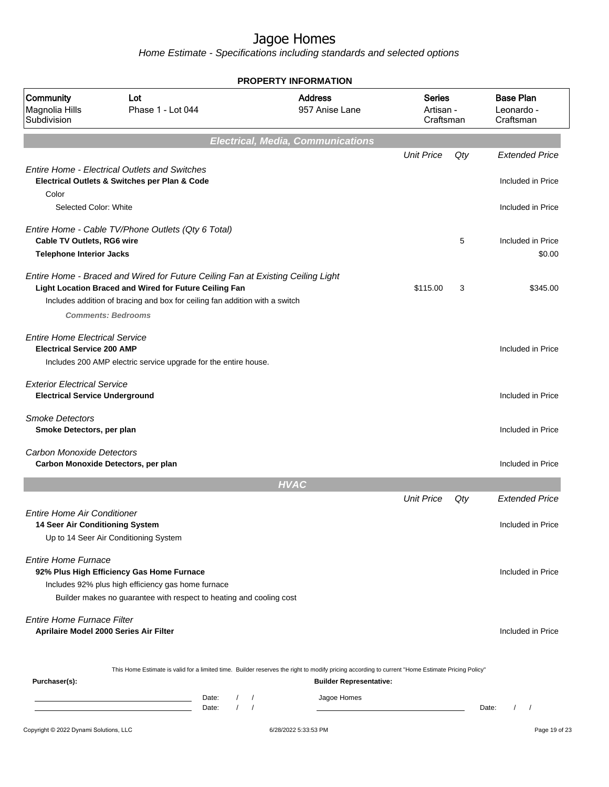|                                                                             |                                                                                                                                                                                                                          | <b>PROPERTY INFORMATION</b>                                                                                                                                                        |                                         |     |                                             |
|-----------------------------------------------------------------------------|--------------------------------------------------------------------------------------------------------------------------------------------------------------------------------------------------------------------------|------------------------------------------------------------------------------------------------------------------------------------------------------------------------------------|-----------------------------------------|-----|---------------------------------------------|
| Community<br>Magnolia Hills<br>Subdivision                                  | Lot<br>Phase 1 - Lot 044                                                                                                                                                                                                 | <b>Address</b><br>957 Anise Lane                                                                                                                                                   | <b>Series</b><br>Artisan -<br>Craftsman |     | <b>Base Plan</b><br>Leonardo -<br>Craftsman |
|                                                                             |                                                                                                                                                                                                                          | <b>Electrical, Media, Communications</b>                                                                                                                                           |                                         |     |                                             |
|                                                                             | <b>Entire Home - Electrical Outlets and Switches</b>                                                                                                                                                                     |                                                                                                                                                                                    | <b>Unit Price</b>                       | Qty | <b>Extended Price</b>                       |
| Color                                                                       | Electrical Outlets & Switches per Plan & Code                                                                                                                                                                            |                                                                                                                                                                                    |                                         |     | Included in Price                           |
| Selected Color: White                                                       |                                                                                                                                                                                                                          |                                                                                                                                                                                    |                                         |     | Included in Price                           |
| Cable TV Outlets, RG6 wire<br><b>Telephone Interior Jacks</b>               | Entire Home - Cable TV/Phone Outlets (Qty 6 Total)                                                                                                                                                                       |                                                                                                                                                                                    |                                         | 5   | Included in Price<br>\$0.00                 |
|                                                                             | Entire Home - Braced and Wired for Future Ceiling Fan at Existing Ceiling Light<br>Light Location Braced and Wired for Future Ceiling Fan<br>Includes addition of bracing and box for ceiling fan addition with a switch |                                                                                                                                                                                    | \$115.00                                | 3   | \$345.00                                    |
|                                                                             | <b>Comments: Bedrooms</b>                                                                                                                                                                                                |                                                                                                                                                                                    |                                         |     |                                             |
| <b>Entire Home Electrical Service</b><br><b>Electrical Service 200 AMP</b>  | Includes 200 AMP electric service upgrade for the entire house.                                                                                                                                                          |                                                                                                                                                                                    |                                         |     | Included in Price                           |
| <b>Exterior Electrical Service</b><br><b>Electrical Service Underground</b> |                                                                                                                                                                                                                          |                                                                                                                                                                                    |                                         |     | Included in Price                           |
| <b>Smoke Detectors</b><br>Smoke Detectors, per plan                         |                                                                                                                                                                                                                          |                                                                                                                                                                                    |                                         |     | Included in Price                           |
| <b>Carbon Monoxide Detectors</b>                                            | Carbon Monoxide Detectors, per plan                                                                                                                                                                                      |                                                                                                                                                                                    |                                         |     | Included in Price                           |
|                                                                             |                                                                                                                                                                                                                          | <b>HVAC</b>                                                                                                                                                                        |                                         |     |                                             |
|                                                                             |                                                                                                                                                                                                                          |                                                                                                                                                                                    | <b>Unit Price</b>                       | Qty | <b>Extended Price</b>                       |
| <b>Entire Home Air Conditioner</b><br>14 Seer Air Conditioning System       | Up to 14 Seer Air Conditioning System                                                                                                                                                                                    |                                                                                                                                                                                    |                                         |     | Included in Price                           |
| <b>Entire Home Furnace</b>                                                  | 92% Plus High Efficiency Gas Home Furnace<br>Includes 92% plus high efficiency gas home furnace<br>Builder makes no guarantee with respect to heating and cooling cost                                                   |                                                                                                                                                                                    |                                         |     | Included in Price                           |
| Entire Home Furnace Filter                                                  | Aprilaire Model 2000 Series Air Filter                                                                                                                                                                                   |                                                                                                                                                                                    |                                         |     | Included in Price                           |
| Purchaser(s):                                                               |                                                                                                                                                                                                                          | This Home Estimate is valid for a limited time. Builder reserves the right to modify pricing according to current "Home Estimate Pricing Policy"<br><b>Builder Representative:</b> |                                         |     |                                             |
|                                                                             | Date:<br><u> 1989 - Johann Barn, amerikansk politiker (d. 1989)</u><br>$\sqrt{ }$<br>the control of the control of the control of the<br>Date:                                                                           | Jagoe Homes<br>$\prime$<br>$\sqrt{2}$                                                                                                                                              |                                         |     | Date:<br>$\left  \right $                   |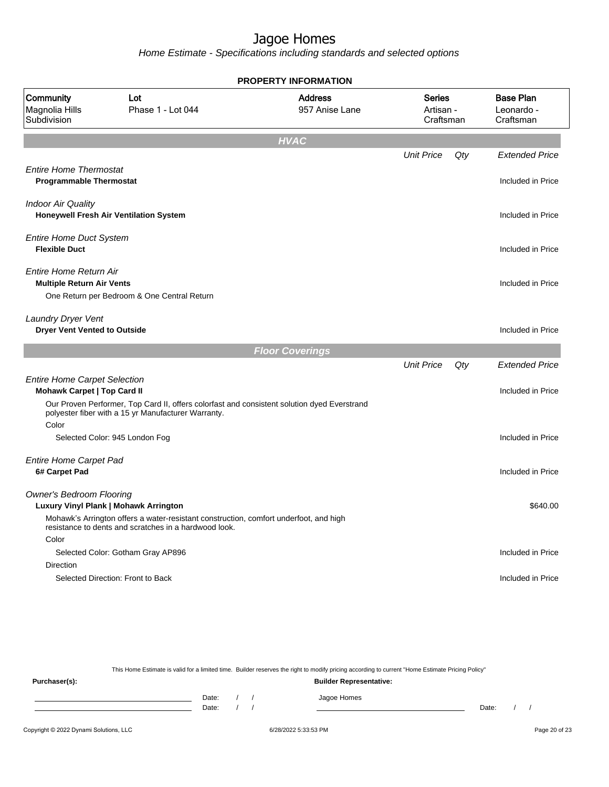Home Estimate - Specifications including standards and selected options

|                                                                           |                                                                                                                                                    | <b>PROPERTY INFORMATION</b>      |                                  |     |                                             |
|---------------------------------------------------------------------------|----------------------------------------------------------------------------------------------------------------------------------------------------|----------------------------------|----------------------------------|-----|---------------------------------------------|
| Community<br>Magnolia Hills<br>Subdivision                                | Lot<br>Phase 1 - Lot 044                                                                                                                           | <b>Address</b><br>957 Anise Lane | Series<br>Artisan -<br>Craftsman |     | <b>Base Plan</b><br>Leonardo -<br>Craftsman |
|                                                                           |                                                                                                                                                    | <b>HVAC</b>                      |                                  |     |                                             |
|                                                                           |                                                                                                                                                    |                                  | <b>Unit Price</b>                | Qty | <b>Extended Price</b>                       |
| <b>Entire Home Thermostat</b><br><b>Programmable Thermostat</b>           |                                                                                                                                                    |                                  |                                  |     | Included in Price                           |
| <b>Indoor Air Quality</b>                                                 | Honeywell Fresh Air Ventilation System                                                                                                             |                                  |                                  |     | Included in Price                           |
| <b>Entire Home Duct System</b><br><b>Flexible Duct</b>                    |                                                                                                                                                    |                                  |                                  |     | Included in Price                           |
| Entire Home Return Air<br><b>Multiple Return Air Vents</b>                |                                                                                                                                                    |                                  |                                  |     | Included in Price                           |
|                                                                           | One Return per Bedroom & One Central Return                                                                                                        |                                  |                                  |     |                                             |
| Laundry Dryer Vent<br><b>Dryer Vent Vented to Outside</b>                 |                                                                                                                                                    |                                  |                                  |     | Included in Price                           |
|                                                                           |                                                                                                                                                    | <b>Floor Coverings</b>           |                                  |     |                                             |
|                                                                           |                                                                                                                                                    |                                  | <b>Unit Price</b>                | Qty | <b>Extended Price</b>                       |
| <b>Entire Home Carpet Selection</b><br><b>Mohawk Carpet   Top Card II</b> |                                                                                                                                                    |                                  |                                  |     | Included in Price                           |
| Color                                                                     | Our Proven Performer, Top Card II, offers colorfast and consistent solution dyed Everstrand<br>polyester fiber with a 15 yr Manufacturer Warranty. |                                  |                                  |     |                                             |
|                                                                           | Selected Color: 945 London Fog                                                                                                                     |                                  |                                  |     | Included in Price                           |
| <b>Entire Home Carpet Pad</b><br>6# Carpet Pad                            |                                                                                                                                                    |                                  |                                  |     | Included in Price                           |
| <b>Owner's Bedroom Flooring</b>                                           | Luxury Vinyl Plank   Mohawk Arrington                                                                                                              |                                  |                                  |     | \$640.00                                    |
|                                                                           | Mohawk's Arrington offers a water-resistant construction, comfort underfoot, and high<br>resistance to dents and scratches in a hardwood look.     |                                  |                                  |     |                                             |
| Color                                                                     | Selected Color: Gotham Gray AP896                                                                                                                  |                                  |                                  |     | Included in Price                           |
| Direction                                                                 |                                                                                                                                                    |                                  |                                  |     |                                             |
|                                                                           | Selected Direction: Front to Back                                                                                                                  |                                  |                                  |     | Included in Price                           |
|                                                                           |                                                                                                                                                    |                                  |                                  |     |                                             |
|                                                                           |                                                                                                                                                    |                                  |                                  |     |                                             |

This Home Estimate is valid for a limited time. Builder reserves the right to modify pricing according to current "Home Estimate Pricing Policy" **Purchaser(s): Builder Representative:** Date: / / Jagoe Homes<br>Date: / / Jagoe Homes Date: / / Date: / /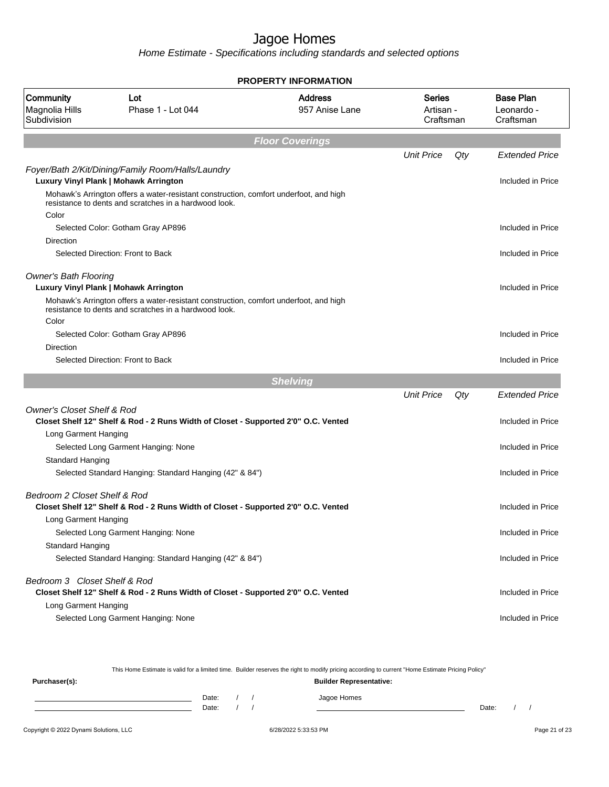Home Estimate - Specifications including standards and selected options

|                                            |                                                                                                                                                                                     | <b>PROPERTY INFORMATION</b>      |                                  |     |                                             |
|--------------------------------------------|-------------------------------------------------------------------------------------------------------------------------------------------------------------------------------------|----------------------------------|----------------------------------|-----|---------------------------------------------|
| Community<br>Magnolia Hills<br>Subdivision | Lot<br>Phase 1 - Lot 044                                                                                                                                                            | <b>Address</b><br>957 Anise Lane | Series<br>Artisan -<br>Craftsman |     | <b>Base Plan</b><br>Leonardo -<br>Craftsman |
|                                            |                                                                                                                                                                                     | <b>Floor Coverings</b>           |                                  |     |                                             |
|                                            |                                                                                                                                                                                     |                                  | <b>Unit Price</b>                | Qty | <b>Extended Price</b>                       |
|                                            | Foyer/Bath 2/Kit/Dining/Family Room/Halls/Laundry<br>Luxury Vinyl Plank   Mohawk Arrington<br>Mohawk's Arrington offers a water-resistant construction, comfort underfoot, and high |                                  |                                  |     | Included in Price                           |
| Color                                      | resistance to dents and scratches in a hardwood look.                                                                                                                               |                                  |                                  |     |                                             |
|                                            | Selected Color: Gotham Gray AP896                                                                                                                                                   |                                  |                                  |     | Included in Price                           |
| Direction                                  |                                                                                                                                                                                     |                                  |                                  |     |                                             |
|                                            | Selected Direction: Front to Back                                                                                                                                                   |                                  |                                  |     | Included in Price                           |
| <b>Owner's Bath Flooring</b>               |                                                                                                                                                                                     |                                  |                                  |     |                                             |
|                                            | Luxury Vinyl Plank   Mohawk Arrington                                                                                                                                               |                                  |                                  |     | Included in Price                           |
|                                            | Mohawk's Arrington offers a water-resistant construction, comfort underfoot, and high<br>resistance to dents and scratches in a hardwood look.                                      |                                  |                                  |     |                                             |
| Color                                      | Selected Color: Gotham Gray AP896                                                                                                                                                   |                                  |                                  |     | Included in Price                           |
| Direction                                  |                                                                                                                                                                                     |                                  |                                  |     |                                             |
|                                            | Selected Direction: Front to Back                                                                                                                                                   |                                  |                                  |     | Included in Price                           |
|                                            |                                                                                                                                                                                     | <b>Shelving</b>                  |                                  |     |                                             |
|                                            |                                                                                                                                                                                     |                                  | <b>Unit Price</b>                | Qty | <b>Extended Price</b>                       |
| <b>Owner's Closet Shelf &amp; Rod</b>      |                                                                                                                                                                                     |                                  |                                  |     |                                             |
|                                            | Closet Shelf 12" Shelf & Rod - 2 Runs Width of Closet - Supported 2'0" O.C. Vented                                                                                                  |                                  |                                  |     | Included in Price                           |
| Long Garment Hanging                       |                                                                                                                                                                                     |                                  |                                  |     |                                             |
|                                            | Selected Long Garment Hanging: None                                                                                                                                                 |                                  |                                  |     | Included in Price                           |
| Standard Hanging                           | Selected Standard Hanging: Standard Hanging (42" & 84")                                                                                                                             |                                  |                                  |     | Included in Price                           |
|                                            |                                                                                                                                                                                     |                                  |                                  |     |                                             |
| Bedroom 2 Closet Shelf & Rod               | Closet Shelf 12" Shelf & Rod - 2 Runs Width of Closet - Supported 2'0" O.C. Vented                                                                                                  |                                  |                                  |     | Included in Price                           |
| Long Garment Hanging                       |                                                                                                                                                                                     |                                  |                                  |     |                                             |
| Standard Hanging                           | Selected Long Garment Hanging: None                                                                                                                                                 |                                  |                                  |     | Included in Price                           |
|                                            | Selected Standard Hanging: Standard Hanging (42" & 84")                                                                                                                             |                                  |                                  |     | Included in Price                           |
| Bedroom 3 Closet Shelf & Rod               | Closet Shelf 12" Shelf & Rod - 2 Runs Width of Closet - Supported 2'0" O.C. Vented                                                                                                  |                                  |                                  |     | Included in Price                           |
| Long Garment Hanging                       | Selected Long Garment Hanging: None                                                                                                                                                 |                                  |                                  |     | Included in Price                           |

This Home Estimate is valid for a limited time. Builder reserves the right to modify pricing according to current "Home Estimate Pricing Policy"

**Purchaser(s): Builder Representative:** Date: / / Jagoe Homes<br>Date: / / Jagoe Homes Date: / / Date: / /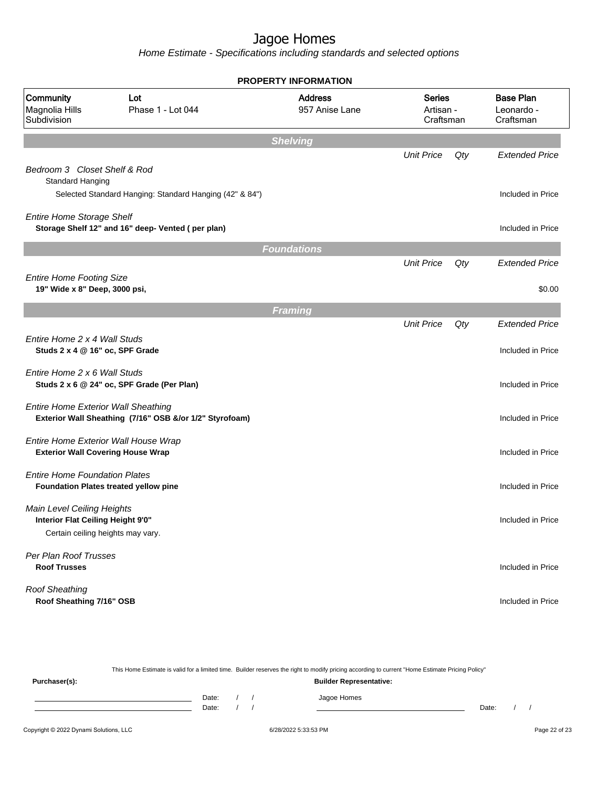|                                                                                                      |                                                         | <b>PROPERTY INFORMATION</b>      |                                         |     |                                             |
|------------------------------------------------------------------------------------------------------|---------------------------------------------------------|----------------------------------|-----------------------------------------|-----|---------------------------------------------|
| Community<br>Magnolia Hills<br>Subdivision                                                           | Lot<br>Phase 1 - Lot 044                                | <b>Address</b><br>957 Anise Lane | <b>Series</b><br>Artisan -<br>Craftsman |     | <b>Base Plan</b><br>Leonardo -<br>Craftsman |
|                                                                                                      |                                                         | <b>Shelving</b>                  |                                         |     |                                             |
| Bedroom 3 Closet Shelf & Rod                                                                         |                                                         |                                  | <b>Unit Price</b>                       | Qty | <b>Extended Price</b>                       |
| <b>Standard Hanging</b>                                                                              | Selected Standard Hanging: Standard Hanging (42" & 84") |                                  |                                         |     | Included in Price                           |
| <b>Entire Home Storage Shelf</b>                                                                     | Storage Shelf 12" and 16" deep- Vented (per plan)       |                                  |                                         |     | Included in Price                           |
|                                                                                                      |                                                         | <b>Foundations</b>               |                                         |     |                                             |
|                                                                                                      |                                                         |                                  | <b>Unit Price</b>                       | Qty | <b>Extended Price</b>                       |
| <b>Entire Home Footing Size</b><br>19" Wide x 8" Deep, 3000 psi,                                     |                                                         |                                  |                                         |     | \$0.00                                      |
|                                                                                                      |                                                         | <b>Framing</b>                   |                                         |     |                                             |
|                                                                                                      |                                                         |                                  | <b>Unit Price</b>                       | Qty | <b>Extended Price</b>                       |
| Entire Home 2 x 4 Wall Studs<br>Studs 2 x 4 @ 16" oc, SPF Grade                                      |                                                         |                                  |                                         |     | Included in Price                           |
| Entire Home 2 x 6 Wall Studs                                                                         | Studs 2 x 6 @ 24" oc, SPF Grade (Per Plan)              |                                  |                                         |     | Included in Price                           |
| <b>Entire Home Exterior Wall Sheathing</b>                                                           | Exterior Wall Sheathing (7/16" OSB &/or 1/2" Styrofoam) |                                  |                                         |     | Included in Price                           |
| Entire Home Exterior Wall House Wrap<br><b>Exterior Wall Covering House Wrap</b>                     |                                                         |                                  |                                         |     | Included in Price                           |
| <b>Entire Home Foundation Plates</b>                                                                 | Foundation Plates treated yellow pine                   |                                  |                                         |     | Included in Price                           |
| Main Level Ceiling Heights<br>Interior Flat Ceiling Height 9'0"<br>Certain ceiling heights may vary. |                                                         |                                  |                                         |     | Included in Price                           |
| Per Plan Roof Trusses<br><b>Roof Trusses</b>                                                         |                                                         |                                  |                                         |     | Included in Price                           |
| <b>Roof Sheathing</b><br>Roof Sheathing 7/16" OSB                                                    |                                                         |                                  |                                         |     | Included in Price                           |

|               |                                |       |  |  | This Home Estimate is valid for a limited time. Builder reserves the right to modify pricing according to current "Home Estimate Pricing Policy" |       |  |  |
|---------------|--------------------------------|-------|--|--|--------------------------------------------------------------------------------------------------------------------------------------------------|-------|--|--|
| Purchaser(s): | <b>Builder Representative:</b> |       |  |  |                                                                                                                                                  |       |  |  |
|               |                                | Date: |  |  | Jagoe Homes                                                                                                                                      |       |  |  |
|               |                                | Date: |  |  |                                                                                                                                                  | Date: |  |  |
|               |                                |       |  |  |                                                                                                                                                  |       |  |  |